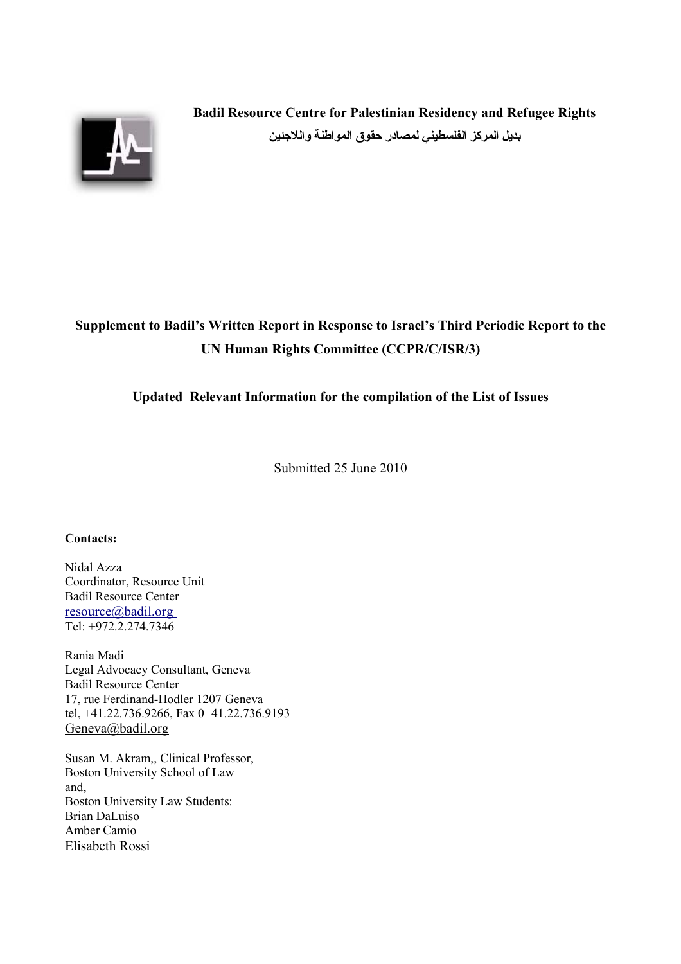

**Badil Resource Centre for Palestinian Residency and Refugee Rights بديل المركز الفلسطيني لمصادر حقوق المواطنة واللجئين**

# **Supplement to Badil's Written Report in Response to Israel's Third Periodic Report to the UN Human Rights Committee (CCPR/C/ISR/3)**

## **Updated Relevant Information for the compilation of the List of Issues**

Submitted 25 June 2010

#### **Contacts:**

Nidal Azza Coordinator, Resource Unit Badil Resource Center  [resource@badil.org](mailto:director@badil.org) Tel: +972.2.274.7346

Rania Madi Legal Advocacy Consultant, Geneva Badil Resource Center 17, rue Ferdinand-Hodler 1207 Geneva tel, +41.22.736.9266, Fax 0+41.22.736.9193 [Geneva@badil.org](mailto:Geneva@badil.org)

Susan M. Akram,, Clinical Professor, Boston University School of Law and, Boston University Law Students: Brian DaLuiso Amber Camio Elisabeth Rossi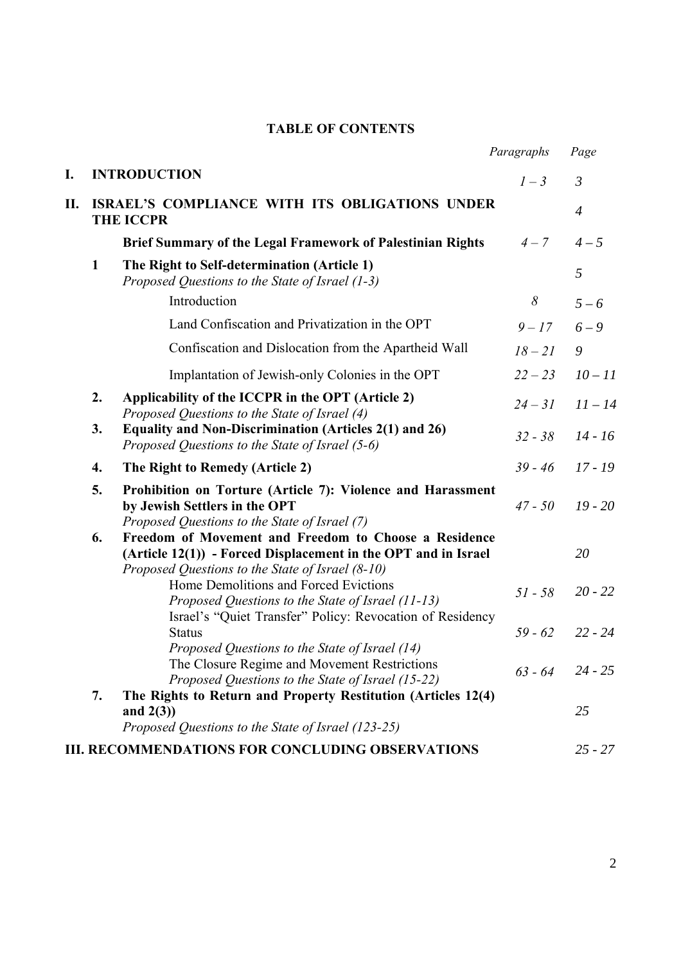# **TABLE OF CONTENTS**

|    |    |                                                                                                                                                                               | Paragraphs | Page              |
|----|----|-------------------------------------------------------------------------------------------------------------------------------------------------------------------------------|------------|-------------------|
| I. |    | <b>INTRODUCTION</b>                                                                                                                                                           | $1-3$      | 3                 |
| П. |    | ISRAEL'S COMPLIANCE WITH ITS OBLIGATIONS UNDER<br><b>THE ICCPR</b>                                                                                                            |            | $\overline{4}$    |
|    |    | Brief Summary of the Legal Framework of Palestinian Rights                                                                                                                    | $4 - 7$    | $4 - 5$           |
|    | 1  | The Right to Self-determination (Article 1)<br>Proposed Questions to the State of Israel (1-3)                                                                                |            | 5                 |
|    |    | Introduction                                                                                                                                                                  | 8          | $5 - 6$           |
|    |    | Land Confiscation and Privatization in the OPT                                                                                                                                | $9 - 17$   | $6 - 9$           |
|    |    | Confiscation and Dislocation from the Apartheid Wall                                                                                                                          | $18 - 21$  | 9                 |
|    |    | Implantation of Jewish-only Colonies in the OPT                                                                                                                               | $22 - 23$  | $10 - 11$         |
|    | 2. | Applicability of the ICCPR in the OPT (Article 2)<br>Proposed Questions to the State of Israel (4)                                                                            | $24 - 31$  | $11 - 14$         |
|    | 3. | Equality and Non-Discrimination (Articles 2(1) and 26)<br>Proposed Questions to the State of Israel (5-6)                                                                     | $32 - 38$  | $14 - 16$         |
|    | 4. | The Right to Remedy (Article 2)                                                                                                                                               | $39 - 46$  | $17 - 19$         |
|    | 5. | Prohibition on Torture (Article 7): Violence and Harassment<br>by Jewish Settlers in the OPT<br>Proposed Questions to the State of Israel (7)                                 | $47 - 50$  | $19 - 20$         |
|    | 6. | Freedom of Movement and Freedom to Choose a Residence<br>$(Article 12(1))$ - Forced Displacement in the OPT and in Israel<br>Proposed Questions to the State of Israel (8-10) |            | 20                |
|    |    | Home Demolitions and Forced Evictions<br>Proposed Questions to the State of Israel (11-13)<br>Israel's "Quiet Transfer" Policy: Revocation of Residency                       | $51 - 58$  | $20 - 22$         |
|    |    | <b>Status</b><br>Proposed Questions to the State of Israel (14)                                                                                                               | $59 - 62$  | $22 - 24$         |
|    | 7. | The Closure Regime and Movement Restrictions<br>Proposed Questions to the State of Israel (15-22)<br>The Rights to Return and Property Restitution (Articles 12(4)            |            | $63 - 64$ 24 - 25 |
|    |    | and $2(3)$ )<br>Proposed Questions to the State of Israel (123-25)                                                                                                            |            | 25                |
|    |    | <b>III. RECOMMENDATIONS FOR CONCLUDING OBSERVATIONS</b>                                                                                                                       |            | $25 - 27$         |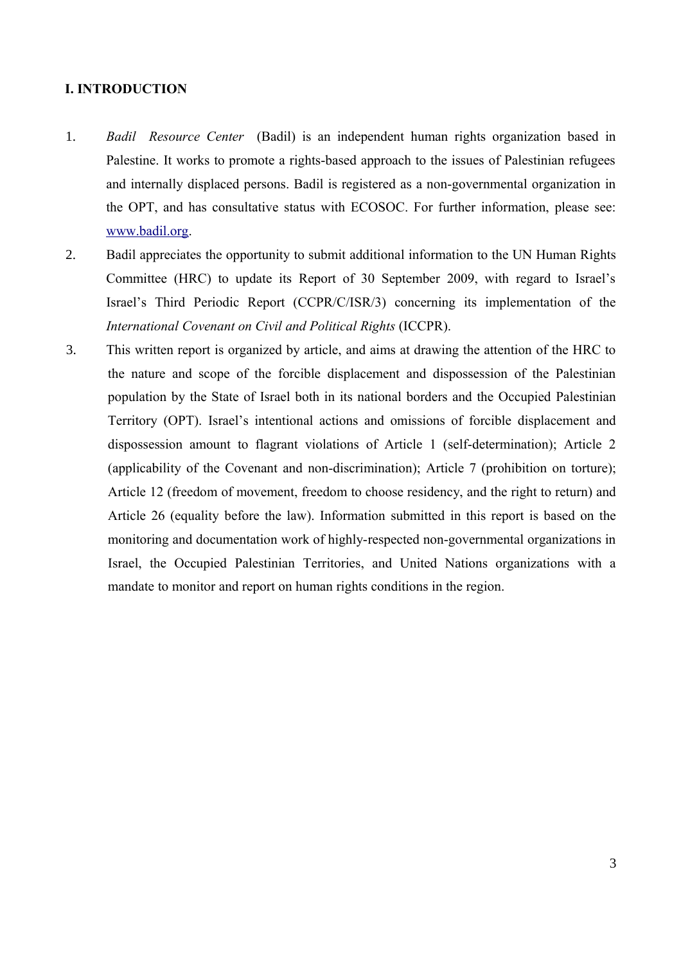## **I. INTRODUCTION**

- 1. *Badil Resource Center* (Badil) is an independent human rights organization based in Palestine. It works to promote a rights-based approach to the issues of Palestinian refugees and internally displaced persons. Badil is registered as a non-governmental organization in the OPT, and has consultative status with ECOSOC. For further information, please see: [www.badil.org.](http://www.badil.org/)
- 2. Badil appreciates the opportunity to submit additional information to the UN Human Rights Committee (HRC) to update its Report of 30 September 2009, with regard to Israel's Israel's Third Periodic Report (CCPR/C/ISR/3) concerning its implementation of the *International Covenant on Civil and Political Rights* (ICCPR).
- 3. This written report is organized by article, and aims at drawing the attention of the HRC to the nature and scope of the forcible displacement and dispossession of the Palestinian population by the State of Israel both in its national borders and the Occupied Palestinian Territory (OPT). Israel's intentional actions and omissions of forcible displacement and dispossession amount to flagrant violations of Article 1 (self-determination); Article 2 (applicability of the Covenant and non-discrimination); Article 7 (prohibition on torture); Article 12 (freedom of movement, freedom to choose residency, and the right to return) and Article 26 (equality before the law). Information submitted in this report is based on the monitoring and documentation work of highly-respected non-governmental organizations in Israel, the Occupied Palestinian Territories, and United Nations organizations with a mandate to monitor and report on human rights conditions in the region.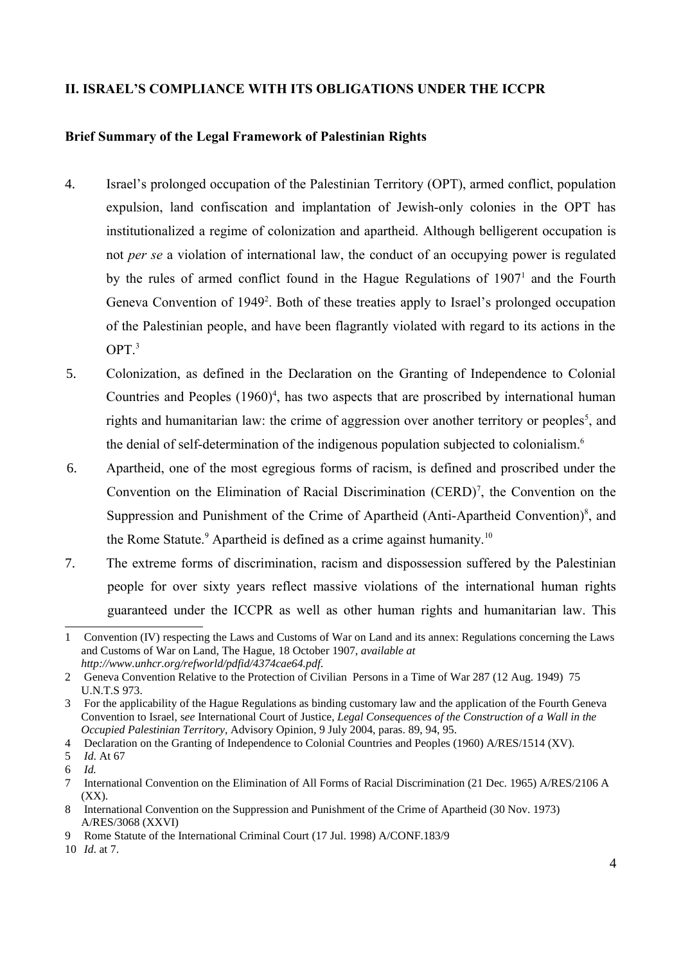# **II. ISRAEL'S COMPLIANCE WITH ITS OBLIGATIONS UNDER THE ICCPR**

## **Brief Summary of the Legal Framework of Palestinian Rights**

- 4. Israel's prolonged occupation of the Palestinian Territory (OPT), armed conflict, population expulsion, land confiscation and implantation of Jewish-only colonies in the OPT has institutionalized a regime of colonization and apartheid. Although belligerent occupation is not *per se* a violation of international law, the conduct of an occupying power is regulated by the rules of armed conflict found in the Hague Regulations of  $1907<sup>1</sup>$  $1907<sup>1</sup>$  and the Fourth Geneva Convention of 1949<sup>[2](#page-3-1)</sup>. Both of these treaties apply to Israel's prolonged occupation of the Palestinian people, and have been flagrantly violated with regard to its actions in the  $OPT<sup>3</sup>$  $OPT<sup>3</sup>$  $OPT<sup>3</sup>$
- 5. Colonization, as defined in the Declaration on the Granting of Independence to Colonial Countries and Peoples  $(1960)^4$  $(1960)^4$ , has two aspects that are proscribed by international human rights and humanitarian law: the crime of aggression over another territory or peoples<sup>[5](#page-3-4)</sup>, and the denial of self-determination of the indigenous population subjected to colonialism.<sup>[6](#page-3-5)</sup>
- 6. Apartheid, one of the most egregious forms of racism, is defined and proscribed under the Convention on the Elimination of Racial Discrimination  $(CERD)^7$  $(CERD)^7$ , the Convention on the Suppression and Punishment of the Crime of Apartheid (Anti-Apartheid Convention)<sup>[8](#page-3-7)</sup>, and the Rome Statute.<sup>[9](#page-3-8)</sup> Apartheid is defined as a crime against humanity.<sup>[10](#page-3-9)</sup>
- 7. The extreme forms of discrimination, racism and dispossession suffered by the Palestinian people for over sixty years reflect massive violations of the international human rights guaranteed under the ICCPR as well as other human rights and humanitarian law. This

<span id="page-3-0"></span><sup>1</sup> Convention (IV) respecting the Laws and Customs of War on Land and its annex: Regulations concerning the Laws and Customs of War on Land, The Hague, 18 October 1907, *available at http://www.unhcr.org/refworld/pdfid/4374cae64.pdf*.

<span id="page-3-1"></span><sup>2</sup> Geneva Convention Relative to the Protection of Civilian Persons in a Time of War 287 (12 Aug. 1949) 75 U.N.T.S 973.

<span id="page-3-2"></span><sup>3</sup> For the applicability of the Hague Regulations as binding customary law and the application of the Fourth Geneva Convention to Israel, s*ee* International Court of Justice, *Legal Consequences of the Construction of a Wall in the Occupied Palestinian Territory*, Advisory Opinion, 9 July 2004, paras. 89, 94, 95.

<span id="page-3-3"></span><sup>4</sup> Declaration on the Granting of Independence to Colonial Countries and Peoples (1960) A/RES/1514 (XV).

<span id="page-3-4"></span><sup>5</sup> *Id*. At 67

<span id="page-3-5"></span><sup>6</sup> *Id.*

<span id="page-3-6"></span><sup>7</sup> International Convention on the Elimination of All Forms of Racial Discrimination (21 Dec. 1965) A/RES/2106 A (XX).

<span id="page-3-7"></span><sup>8</sup> International Convention on the Suppression and Punishment of the Crime of Apartheid (30 Nov. 1973) A/RES/3068 (XXVI)

<span id="page-3-8"></span><sup>9</sup> Rome Statute of the International Criminal Court (17 Jul. 1998) A/CONF.183/9

<span id="page-3-9"></span><sup>10</sup> *Id*. at 7.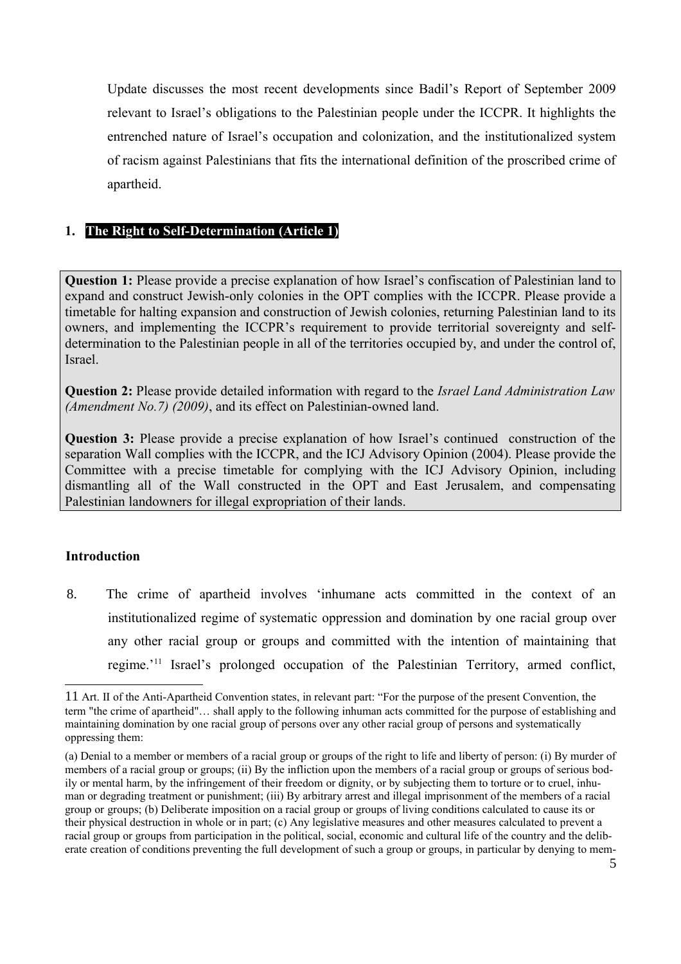Update discusses the most recent developments since Badil's Report of September 2009 relevant to Israel's obligations to the Palestinian people under the ICCPR. It highlights the entrenched nature of Israel's occupation and colonization, and the institutionalized system of racism against Palestinians that fits the international definition of the proscribed crime of apartheid.

# **1. The Right to Self-Determination (Article 1)**

**Question 1:** Please provide a precise explanation of how Israel's confiscation of Palestinian land to expand and construct Jewish-only colonies in the OPT complies with the ICCPR. Please provide a timetable for halting expansion and construction of Jewish colonies, returning Palestinian land to its owners, and implementing the ICCPR's requirement to provide territorial sovereignty and selfdetermination to the Palestinian people in all of the territories occupied by, and under the control of, Israel.

**Question 2:** Please provide detailed information with regard to the *Israel Land Administration Law (Amendment No.7) (2009)*, and its effect on Palestinian-owned land.

**Question 3:** Please provide a precise explanation of how Israel's continued construction of the separation Wall complies with the ICCPR, and the ICJ Advisory Opinion (2004). Please provide the Committee with a precise timetable for complying with the ICJ Advisory Opinion, including dismantling all of the Wall constructed in the OPT and East Jerusalem, and compensating Palestinian landowners for illegal expropriation of their lands.

## **Introduction**

8. The crime of apartheid involves 'inhumane acts committed in the context of an institutionalized regime of systematic oppression and domination by one racial group over any other racial group or groups and committed with the intention of maintaining that regime.'[11](#page-4-0) Israel's prolonged occupation of the Palestinian Territory, armed conflict,

<span id="page-4-0"></span><sup>11</sup> Art. II of the Anti-Apartheid Convention states, in relevant part: "For the purpose of the present Convention, the term "the crime of apartheid"… shall apply to the following inhuman acts committed for the purpose of establishing and maintaining domination by one racial group of persons over any other racial group of persons and systematically oppressing them:

<sup>(</sup>a) Denial to a member or members of a racial group or groups of the right to life and liberty of person: (i) By murder of members of a racial group or groups; (ii) By the infliction upon the members of a racial group or groups of serious bodily or mental harm, by the infringement of their freedom or dignity, or by subjecting them to torture or to cruel, inhuman or degrading treatment or punishment; (iii) By arbitrary arrest and illegal imprisonment of the members of a racial group or groups; (b) Deliberate imposition on a racial group or groups of living conditions calculated to cause its or their physical destruction in whole or in part; (c) Any legislative measures and other measures calculated to prevent a racial group or groups from participation in the political, social, economic and cultural life of the country and the deliberate creation of conditions preventing the full development of such a group or groups, in particular by denying to mem-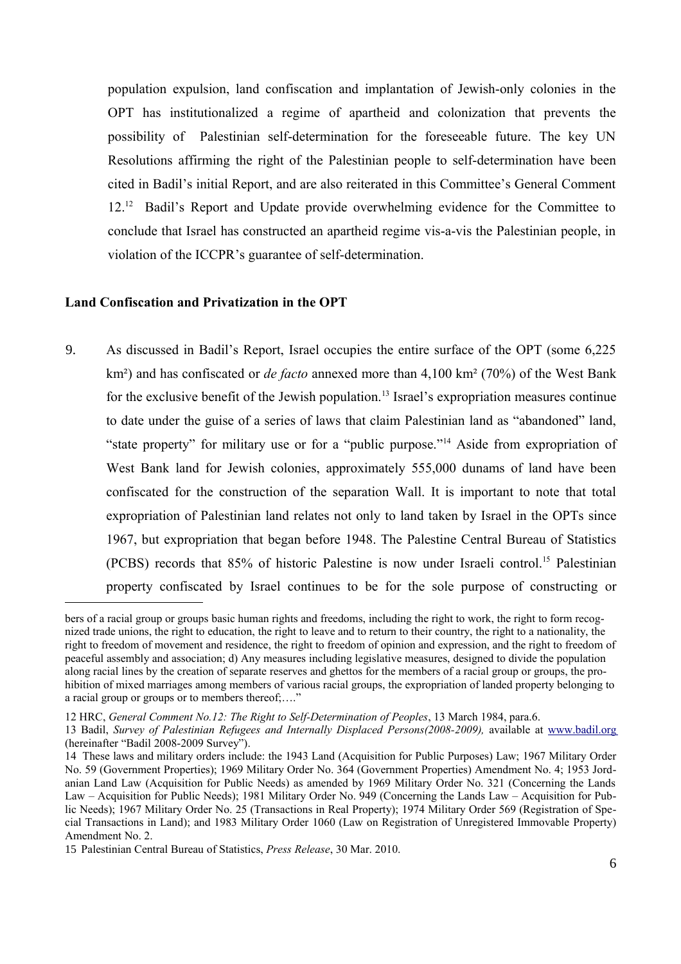population expulsion, land confiscation and implantation of Jewish-only colonies in the OPT has institutionalized a regime of apartheid and colonization that prevents the possibility of Palestinian self-determination for the foreseeable future. The key UN Resolutions affirming the right of the Palestinian people to self-determination have been cited in Badil's initial Report, and are also reiterated in this Committee's General Comment [12](#page-5-0)<sup>12</sup> Badil's Report and Update provide overwhelming evidence for the Committee to conclude that Israel has constructed an apartheid regime vis-a-vis the Palestinian people, in violation of the ICCPR's guarantee of self-determination.

#### **Land Confiscation and Privatization in the OPT**

9. As discussed in Badil's Report, Israel occupies the entire surface of the OPT (some 6,225 km²) and has confiscated or *de facto* annexed more than 4,100 km² (70%) of the West Bank for the exclusive benefit of the Jewish population.<sup>[13](#page-5-1)</sup> Israel's expropriation measures continue to date under the guise of a series of laws that claim Palestinian land as "abandoned" land, "state property" for military use or for a "public purpose."[14](#page-5-2) Aside from expropriation of West Bank land for Jewish colonies, approximately 555,000 dunams of land have been confiscated for the construction of the separation Wall. It is important to note that total expropriation of Palestinian land relates not only to land taken by Israel in the OPTs since 1967, but expropriation that began before 1948. The Palestine Central Bureau of Statistics (PCBS) records that 85% of historic Palestine is now under Israeli control.[15](#page-5-3) Palestinian property confiscated by Israel continues to be for the sole purpose of constructing or

bers of a racial group or groups basic human rights and freedoms, including the right to work, the right to form recognized trade unions, the right to education, the right to leave and to return to their country, the right to a nationality, the right to freedom of movement and residence, the right to freedom of opinion and expression, and the right to freedom of peaceful assembly and association; d) Any measures including legislative measures, designed to divide the population along racial lines by the creation of separate reserves and ghettos for the members of a racial group or groups, the prohibition of mixed marriages among members of various racial groups, the expropriation of landed property belonging to a racial group or groups or to members thereof;…."

<span id="page-5-0"></span><sup>12</sup> HRC, *General Comment No.12: The Right to Self-Determination of Peoples*, 13 March 1984, para.6.

<span id="page-5-1"></span><sup>13</sup> Badil, *Survey of Palestinian Refugees and Internally Displaced Persons(2008-2009),* available at [www.badil.org](http://www.badil.org/) (hereinafter "Badil 2008-2009 Survey").

<span id="page-5-2"></span><sup>14</sup> These laws and military orders include: the 1943 Land (Acquisition for Public Purposes) Law; 1967 Military Order No. 59 (Government Properties); 1969 Military Order No. 364 (Government Properties) Amendment No. 4; 1953 Jordanian Land Law (Acquisition for Public Needs) as amended by 1969 Military Order No. 321 (Concerning the Lands Law – Acquisition for Public Needs); 1981 Military Order No. 949 (Concerning the Lands Law – Acquisition for Public Needs); 1967 Military Order No. 25 (Transactions in Real Property); 1974 Military Order 569 (Registration of Special Transactions in Land); and 1983 Military Order 1060 (Law on Registration of Unregistered Immovable Property) Amendment No. 2.

<span id="page-5-3"></span><sup>15</sup> Palestinian Central Bureau of Statistics, *Press Release*, 30 Mar. 2010.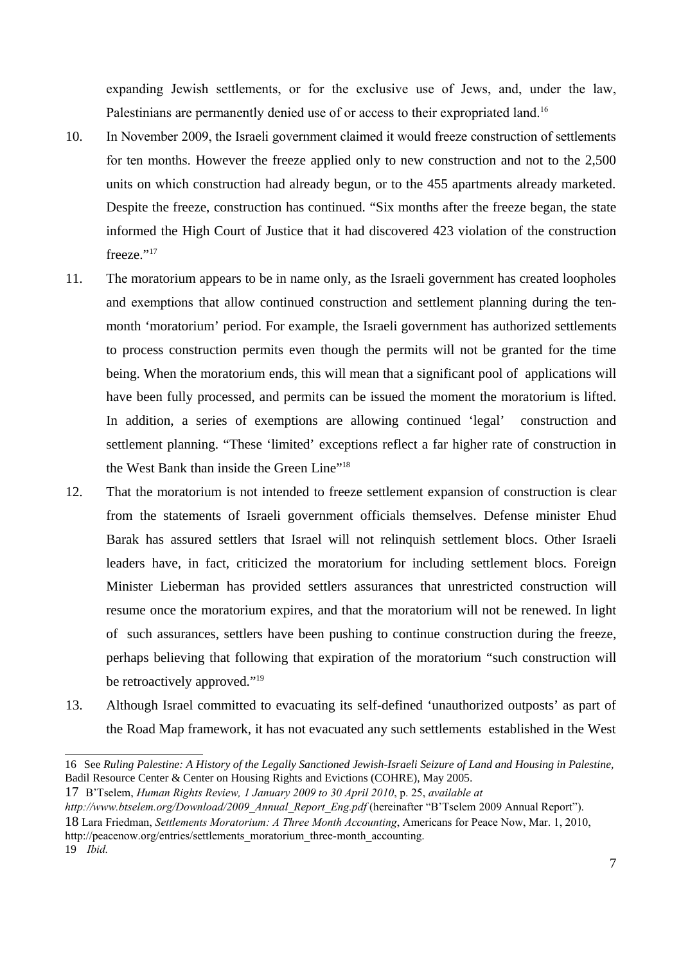expanding Jewish settlements, or for the exclusive use of Jews, and, under the law, Palestinians are permanently denied use of or access to their expropriated land.<sup>[16](#page-6-0)</sup>

- 10. In November 2009, the Israeli government claimed it would freeze construction of settlements for ten months. However the freeze applied only to new construction and not to the 2,500 units on which construction had already begun, or to the 455 apartments already marketed. Despite the freeze, construction has continued. "Six months after the freeze began, the state informed the High Court of Justice that it had discovered 423 violation of the construction freeze."<sup>[17](#page-6-1)</sup>
- 11. The moratorium appears to be in name only, as the Israeli government has created loopholes and exemptions that allow continued construction and settlement planning during the tenmonth 'moratorium' period. For example, the Israeli government has authorized settlements to process construction permits even though the permits will not be granted for the time being. When the moratorium ends, this will mean that a significant pool of applications will have been fully processed, and permits can be issued the moment the moratorium is lifted. In addition, a series of exemptions are allowing continued 'legal' construction and settlement planning. "These 'limited' exceptions reflect a far higher rate of construction in the West Bank than inside the Green Line"<sup>[18](#page-6-2)</sup>
- 12. That the moratorium is not intended to freeze settlement expansion of construction is clear from the statements of Israeli government officials themselves. Defense minister Ehud Barak has assured settlers that Israel will not relinquish settlement blocs. Other Israeli leaders have, in fact, criticized the moratorium for including settlement blocs. Foreign Minister Lieberman has provided settlers assurances that unrestricted construction will resume once the moratorium expires, and that the moratorium will not be renewed. In light of such assurances, settlers have been pushing to continue construction during the freeze, perhaps believing that following that expiration of the moratorium "such construction will be retroactively approved."<sup>[19](#page-6-3)</sup>
- 13. Although Israel committed to evacuating its self-defined 'unauthorized outposts' as part of the Road Map framework, it has not evacuated any such settlements established in the West

<span id="page-6-1"></span>17 B'Tselem, *Human Rights Review, 1 January 2009 to 30 April 2010*, p. 25, *available at*

<span id="page-6-2"></span>18 Lara Friedman, *Settlements Moratorium: A Three Month Accounting*, Americans for Peace Now, Mar. 1, 2010,

http://peacenow.org/entries/settlements\_moratorium\_three-month\_accounting.

<span id="page-6-0"></span><sup>16</sup> See *Ruling Palestine: A History of the Legally Sanctioned Jewish-Israeli Seizure of Land and Housing in Palestine,* Badil Resource Center & Center on Housing Rights and Evictions (COHRE), May 2005.

*http://www.btselem.org/Download/2009\_Annual\_Report\_Eng.pdf* (hereinafter "B'Tselem 2009 Annual Report").

<span id="page-6-3"></span><sup>19</sup> *Ibid.*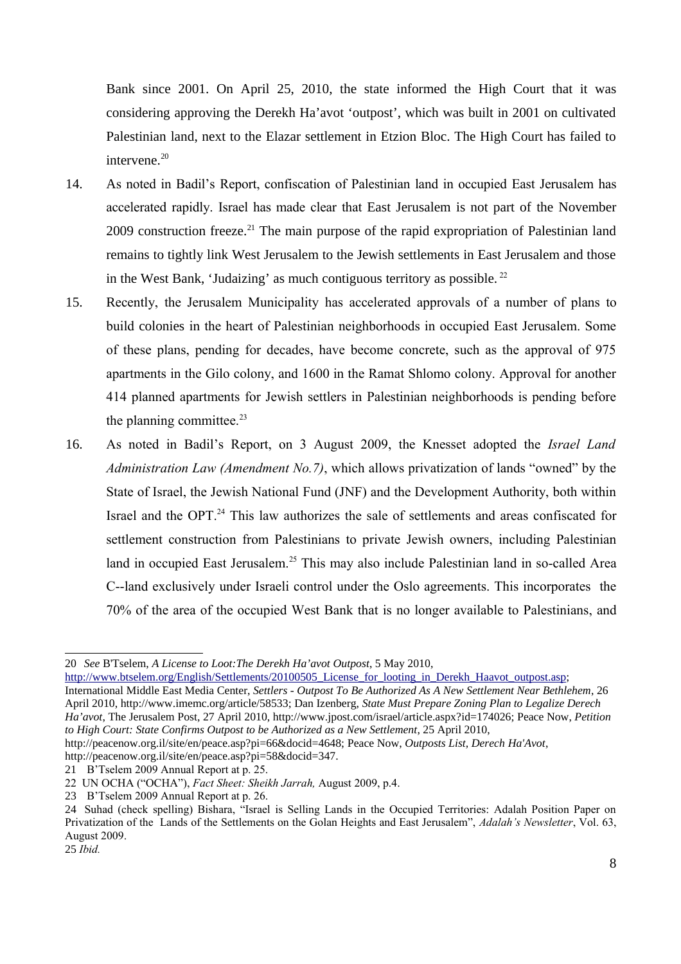Bank since 2001. On April 25, 2010, the state informed the High Court that it was considering approving the Derekh Ha'avot 'outpost', which was built in 2001 on cultivated Palestinian land, next to the Elazar settlement in Etzion Bloc. The High Court has failed to intervene. $^{\rm 20}$  $^{\rm 20}$  $^{\rm 20}$ 

- 14. As noted in Badil's Report, confiscation of Palestinian land in occupied East Jerusalem has accelerated rapidly. Israel has made clear that East Jerusalem is not part of the November 2009 construction freeze.<sup>[21](#page-7-1)</sup> The main purpose of the rapid expropriation of Palestinian land remains to tightly link West Jerusalem to the Jewish settlements in East Jerusalem and those in the West Bank, 'Judaizing' as much contiguous territory as possible.  $^{22}$  $^{22}$  $^{22}$
- 15. Recently, the Jerusalem Municipality has accelerated approvals of a number of plans to build colonies in the heart of Palestinian neighborhoods in occupied East Jerusalem. Some of these plans, pending for decades, have become concrete, such as the approval of 975 apartments in the Gilo colony, and 1600 in the Ramat Shlomo colony. Approval for another 414 planned apartments for Jewish settlers in Palestinian neighborhoods is pending before the planning committee. $23$
- 16. As noted in Badil's Report, on 3 August 2009, the Knesset adopted the *Israel Land Administration Law (Amendment No.7)*, which allows privatization of lands "owned" by the State of Israel, the Jewish National Fund (JNF) and the Development Authority, both within Israel and the OPT.<sup>[24](#page-7-4)</sup> This law authorizes the sale of settlements and areas confiscated for settlement construction from Palestinians to private Jewish owners, including Palestinian land in occupied East Jerusalem.<sup>[25](#page-7-5)</sup> This may also include Palestinian land in so-called Area C--land exclusively under Israeli control under the Oslo agreements. This incorporates the 70% of the area of the occupied West Bank that is no longer available to Palestinians, and

[http://www.btselem.org/English/Settlements/20100505\\_License\\_for\\_looting\\_in\\_Derekh\\_Haavot\\_outpost.asp;](http://www.btselem.org/English/Settlements/20100505_License_for_looting_in_Derekh_Haavot_outpost.asp) International Middle East Media Center, *Settlers - Outpost To Be Authorized As A New Settlement Near Bethlehem*, 26 April 2010, http://www.imemc.org/article/58533; Dan Izenberg, *State Must Prepare Zoning Plan to Legalize Derech Ha'avot*, The Jerusalem Post, 27 April 2010, http://www.jpost.com/israel/article.aspx?id=174026; Peace Now, *Petition to High Court: State Confirms Outpost to be Authorized as a New Settlement*, 25 April 2010,

http://peacenow.org.il/site/en/peace.asp?pi=58&docid=347.

<span id="page-7-0"></span><sup>20</sup> *See* B'Tselem, *A License to Loot:The Derekh Ha'avot Outpost*, 5 May 2010,

http://peacenow.org.il/site/en/peace.asp?pi=66&docid=4648; Peace Now, *Outposts List, Derech Ha'Avot*,

<span id="page-7-1"></span><sup>21</sup> B'Tselem 2009 Annual Report at p. 25.

<span id="page-7-2"></span><sup>22</sup> UN OCHA ("OCHA"), *Fact Sheet: Sheikh Jarrah,* August 2009, p.4.

<span id="page-7-3"></span><sup>23</sup> B'Tselem 2009 Annual Report at p. 26.

<span id="page-7-4"></span><sup>24</sup> Suhad (check spelling) Bishara, "Israel is Selling Lands in the Occupied Territories: Adalah Position Paper on Privatization of the Lands of the Settlements on the Golan Heights and East Jerusalem", *Adalah's Newsletter*, Vol. 63, August 2009.

<span id="page-7-5"></span><sup>25</sup> *Ibid.*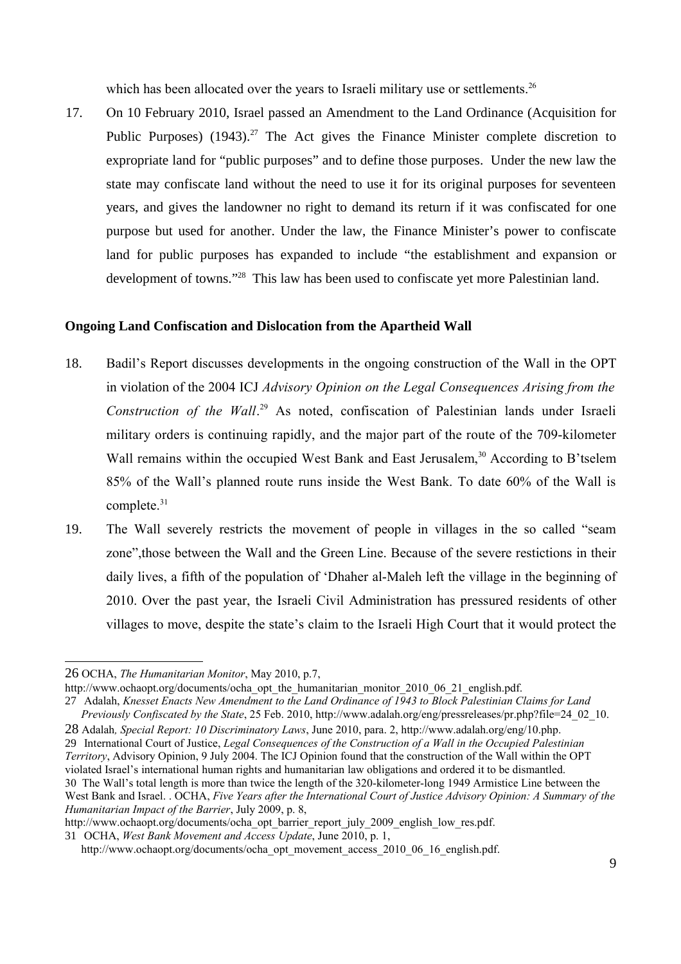which has been allocated over the years to Israeli military use or settlements.<sup>[26](#page-8-0)</sup>

17. On 10 February 2010, Israel passed an Amendment to the Land Ordinance (Acquisition for Public Purposes)  $(1943)$ <sup>[27](#page-8-1)</sup> The Act gives the Finance Minister complete discretion to expropriate land for "public purposes" and to define those purposes. Under the new law the state may confiscate land without the need to use it for its original purposes for seventeen years, and gives the landowner no right to demand its return if it was confiscated for one purpose but used for another. Under the law, the Finance Minister's power to confiscate land for public purposes has expanded to include "the establishment and expansion or development of towns."<sup>[28](#page-8-2)</sup> This law has been used to confiscate yet more Palestinian land.

#### **Ongoing Land Confiscation and Dislocation from the Apartheid Wall**

- 18. Badil's Report discusses developments in the ongoing construction of the Wall in the OPT in violation of the 2004 ICJ *Advisory Opinion on the Legal Consequences Arising from the* Construction of the Wall.<sup>[29](#page-8-3)</sup> As noted, confiscation of Palestinian lands under Israeli military orders is continuing rapidly, and the major part of the route of the 709-kilometer Wall remains within the occupied West Bank and East Jerusalem,<sup>[30](#page-8-4)</sup> According to B'tselem 85% of the Wall's planned route runs inside the West Bank. To date 60% of the Wall is complete. $31$
- 19. The Wall severely restricts the movement of people in villages in the so called "seam zone",those between the Wall and the Green Line. Because of the severe restictions in their daily lives, a fifth of the population of 'Dhaher al-Maleh left the village in the beginning of 2010. Over the past year, the Israeli Civil Administration has pressured residents of other villages to move, despite the state's claim to the Israeli High Court that it would protect the

<span id="page-8-1"></span>27 Adalah, *Knesset Enacts New Amendment to the Land Ordinance of 1943 to Block Palestinian Claims for Land Previously Confiscated by the State*, 25 Feb. 2010, http://www.adalah.org/eng/pressreleases/pr.php?file=24\_02\_10.

<span id="page-8-3"></span><span id="page-8-2"></span>28 Adalah*, Special Report: 10 Discriminatory Laws*, June 2010, para. 2, http://www.adalah.org/eng/10.php. 29 International Court of Justice, *Legal Consequences of the Construction of a Wall in the Occupied Palestinian Territory*, Advisory Opinion, 9 July 2004. The ICJ Opinion found that the construction of the Wall within the OPT violated Israel's international human rights and humanitarian law obligations and ordered it to be dismantled. 30 The Wall's total length is more than twice the length of the 320-kilometer-long 1949 Armistice Line between the

<span id="page-8-0"></span><sup>26</sup> OCHA, *The Humanitarian Monitor*, May 2010, p.7,

http://www.ochaopt.org/documents/ocha\_opt\_the\_humanitarian\_monitor\_2010\_06\_21\_english.pdf.

<span id="page-8-4"></span>West Bank and Israel. . OCHA, *Five Years after the International Court of Justice Advisory Opinion: A Summary of the Humanitarian Impact of the Barrier*, July 2009, p. 8,

http://www.ochaopt.org/documents/ocha\_opt\_barrier\_report\_july\_2009\_english\_low\_res.pdf.

<span id="page-8-5"></span><sup>31</sup> OCHA, *West Bank Movement and Access Update*, June 2010, p. 1,

http://www.ochaopt.org/documents/ocha\_opt\_movement\_access\_2010\_06\_16\_english.pdf.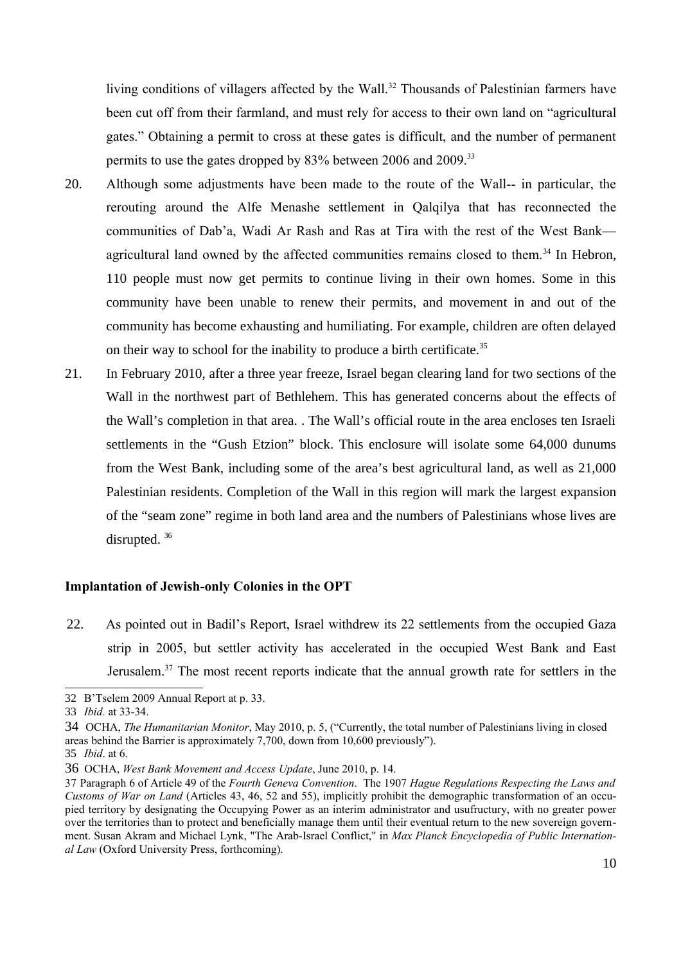living conditions of villagers affected by the Wall.<sup>[32](#page-9-0)</sup> Thousands of Palestinian farmers have been cut off from their farmland, and must rely for access to their own land on "agricultural gates." Obtaining a permit to cross at these gates is difficult, and the number of permanent permits to use the gates dropped by 83% between 2006 and 2009.<sup>[33](#page-9-1)</sup>

- 20. Although some adjustments have been made to the route of the Wall-- in particular, the rerouting around the Alfe Menashe settlement in Qalqilya that has reconnected the communities of Dab'a, Wadi Ar Rash and Ras at Tira with the rest of the West Bank— agricultural land owned by the affected communities remains closed to them.<sup>[34](#page-9-2)</sup> In Hebron, 110 people must now get permits to continue living in their own homes. Some in this community have been unable to renew their permits, and movement in and out of the community has become exhausting and humiliating. For example, children are often delayed on their way to school for the inability to produce a birth certificate.<sup>[35](#page-9-3)</sup>
- 21. In February 2010, after a three year freeze, Israel began clearing land for two sections of the Wall in the northwest part of Bethlehem. This has generated concerns about the effects of the Wall's completion in that area. . The Wall's official route in the area encloses ten Israeli settlements in the "Gush Etzion" block. This enclosure will isolate some 64,000 dunums from the West Bank, including some of the area's best agricultural land, as well as 21,000 Palestinian residents. Completion of the Wall in this region will mark the largest expansion of the "seam zone" regime in both land area and the numbers of Palestinians whose lives are disrupted. [36](#page-9-4)

#### **Implantation of Jewish-only Colonies in the OPT**

22. As pointed out in Badil's Report, Israel withdrew its 22 settlements from the occupied Gaza strip in 2005, but settler activity has accelerated in the occupied West Bank and East Jerusalem.<sup>[37](#page-9-5)</sup> The most recent reports indicate that the annual growth rate for settlers in the

<span id="page-9-0"></span><sup>32</sup> B'Tselem 2009 Annual Report at p. 33.

<span id="page-9-1"></span><sup>33</sup> *Ibid.* at 33-34.

<span id="page-9-2"></span><sup>34</sup> OCHA, *The Humanitarian Monitor*, May 2010, p. 5, ("Currently, the total number of Palestinians living in closed areas behind the Barrier is approximately 7,700, down from 10,600 previously").

<span id="page-9-3"></span><sup>35</sup> *Ibid*. at 6.

<span id="page-9-4"></span><sup>36</sup> OCHA, *West Bank Movement and Access Update*, June 2010, p. 14.

<span id="page-9-5"></span><sup>37</sup> Paragraph 6 of Article 49 of the *Fourth Geneva Convention*. The 1907 *Hague Regulations Respecting the Laws and Customs of War on Land* (Articles 43, 46, 52 and 55), implicitly prohibit the demographic transformation of an occupied territory by designating the Occupying Power as an interim administrator and usufructury, with no greater power over the territories than to protect and beneficially manage them until their eventual return to the new sovereign government. Susan Akram and Michael Lynk, "The Arab-Israel Conflict," in *Max Planck Encyclopedia of Public International Law* (Oxford University Press, forthcoming).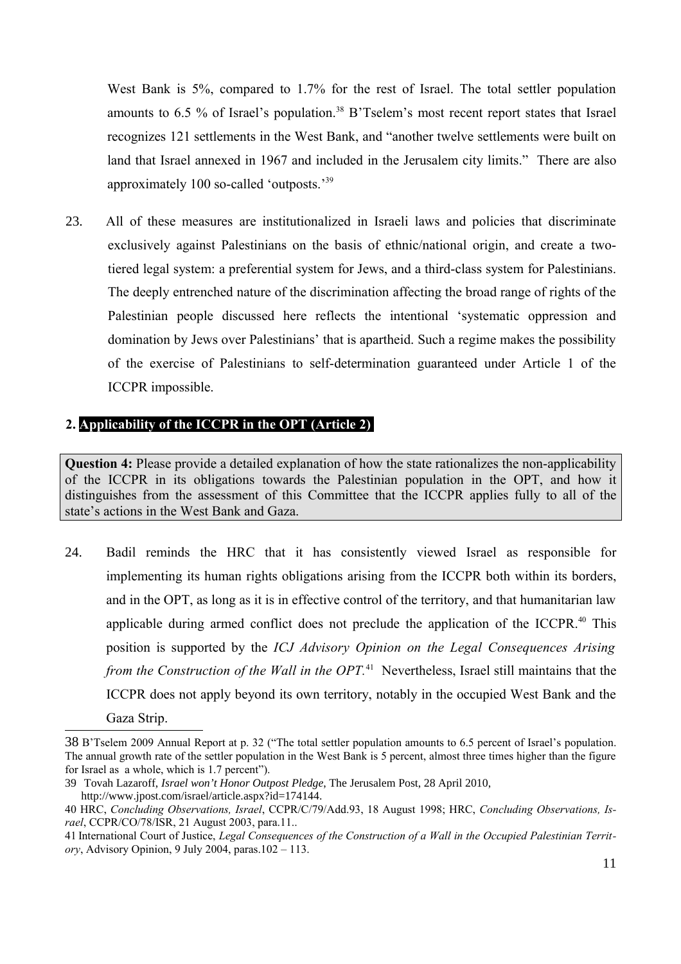West Bank is 5%, compared to 1.7% for the rest of Israel. The total settler population amounts to 6.5 % of Israel's population.<sup>[38](#page-10-0)</sup> B'Tselem's most recent report states that Israel recognizes 121 settlements in the West Bank, and "another twelve settlements were built on land that Israel annexed in 1967 and included in the Jerusalem city limits." There are also approximately 100 so-called 'outposts.'<sup>[39](#page-10-1)</sup>

23. All of these measures are institutionalized in Israeli laws and policies that discriminate exclusively against Palestinians on the basis of ethnic/national origin, and create a twotiered legal system: a preferential system for Jews, and a third-class system for Palestinians. The deeply entrenched nature of the discrimination affecting the broad range of rights of the Palestinian people discussed here reflects the intentional 'systematic oppression and domination by Jews over Palestinians' that is apartheid. Such a regime makes the possibility of the exercise of Palestinians to self-determination guaranteed under Article 1 of the ICCPR impossible.

## **2. Applicability of the ICCPR in the OPT (Article 2)**

**Question 4:** Please provide a detailed explanation of how the state rationalizes the non-applicability of the ICCPR in its obligations towards the Palestinian population in the OPT, and how it distinguishes from the assessment of this Committee that the ICCPR applies fully to all of the state's actions in the West Bank and Gaza.

24. Badil reminds the HRC that it has consistently viewed Israel as responsible for implementing its human rights obligations arising from the ICCPR both within its borders, and in the OPT, as long as it is in effective control of the territory, and that humanitarian law applicable during armed conflict does not preclude the application of the ICCPR.<sup>[40](#page-10-2)</sup> This position is supported by the *ICJ Advisory Opinion on the Legal Consequences Arising* from the Construction of the Wall in the OPT.<sup>[41](#page-10-3)</sup> Nevertheless, Israel still maintains that the ICCPR does not apply beyond its own territory, notably in the occupied West Bank and the Gaza Strip.

<span id="page-10-0"></span><sup>38</sup> B'Tselem 2009 Annual Report at p. 32 ("The total settler population amounts to 6.5 percent of Israel's population. The annual growth rate of the settler population in the West Bank is 5 percent, almost three times higher than the figure for Israel as a whole, which is 1.7 percent").

<span id="page-10-1"></span><sup>39</sup> Tovah Lazaroff, *Israel won't Honor Outpost Pledge*, The Jerusalem Post, 28 April 2010, http://www.jpost.com/israel/article.aspx?id=174144.

<span id="page-10-2"></span><sup>40</sup> HRC, *Concluding Observations, Israel*, CCPR/C/79/Add.93, 18 August 1998; HRC, *Concluding Observations, Israel*, CCPR/CO/78/ISR, 21 August 2003, para.11..

<span id="page-10-3"></span><sup>41</sup> International Court of Justice, *Legal Consequences of the Construction of a Wall in the Occupied Palestinian Territory*, Advisory Opinion, 9 July 2004, paras.102 – 113.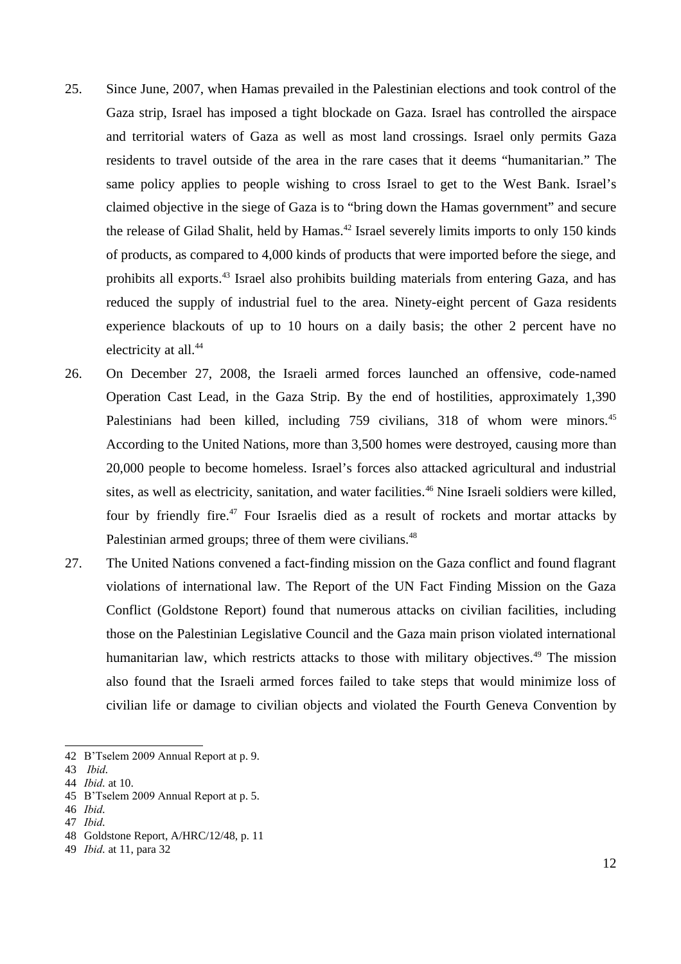- 25. Since June, 2007, when Hamas prevailed in the Palestinian elections and took control of the Gaza strip, Israel has imposed a tight blockade on Gaza. Israel has controlled the airspace and territorial waters of Gaza as well as most land crossings. Israel only permits Gaza residents to travel outside of the area in the rare cases that it deems "humanitarian." The same policy applies to people wishing to cross Israel to get to the West Bank. Israel's claimed objective in the siege of Gaza is to "bring down the Hamas government" and secure the release of Gilad Shalit, held by Hamas.<sup>[42](#page-11-0)</sup> Israel severely limits imports to only 150 kinds of products, as compared to 4,000 kinds of products that were imported before the siege, and prohibits all exports.<sup>[43](#page-11-1)</sup> Israel also prohibits building materials from entering Gaza, and has reduced the supply of industrial fuel to the area. Ninety-eight percent of Gaza residents experience blackouts of up to 10 hours on a daily basis; the other 2 percent have no electricity at all.<sup>[44](#page-11-2)</sup>
- 26. On December 27, 2008, the Israeli armed forces launched an offensive, code-named Operation Cast Lead, in the Gaza Strip. By the end of hostilities, approximately 1,390 Palestinians had been killed, including 759 civilians, 318 of whom were minors.<sup>[45](#page-11-3)</sup> According to the United Nations, more than 3,500 homes were destroyed, causing more than 20,000 people to become homeless. Israel's forces also attacked agricultural and industrial sites, as well as electricity, sanitation, and water facilities.<sup>[46](#page-11-4)</sup> Nine Israeli soldiers were killed, four by friendly fire.<sup>[47](#page-11-5)</sup> Four Israelis died as a result of rockets and mortar attacks by Palestinian armed groups; three of them were civilians.<sup>[48](#page-11-6)</sup>
- 27. The United Nations convened a fact-finding mission on the Gaza conflict and found flagrant violations of international law. The Report of the UN Fact Finding Mission on the Gaza Conflict (Goldstone Report) found that numerous attacks on civilian facilities, including those on the Palestinian Legislative Council and the Gaza main prison violated international humanitarian law, which restricts attacks to those with military objectives.<sup>[49](#page-11-7)</sup> The mission also found that the Israeli armed forces failed to take steps that would minimize loss of civilian life or damage to civilian objects and violated the Fourth Geneva Convention by

<span id="page-11-0"></span><sup>42</sup> B'Tselem 2009 Annual Report at p. 9.

<span id="page-11-1"></span><sup>43</sup> *Ibid.*

<span id="page-11-2"></span><sup>44</sup> *Ibid.* at 10.

<span id="page-11-3"></span><sup>45</sup> B'Tselem 2009 Annual Report at p. 5.

<span id="page-11-4"></span><sup>46</sup> *Ibid.*

<span id="page-11-5"></span><sup>47</sup> *Ibid.*

<span id="page-11-6"></span><sup>48</sup> Goldstone Report, A/HRC/12/48, p. 11

<span id="page-11-7"></span><sup>49</sup> *Ibid.* at 11, para 32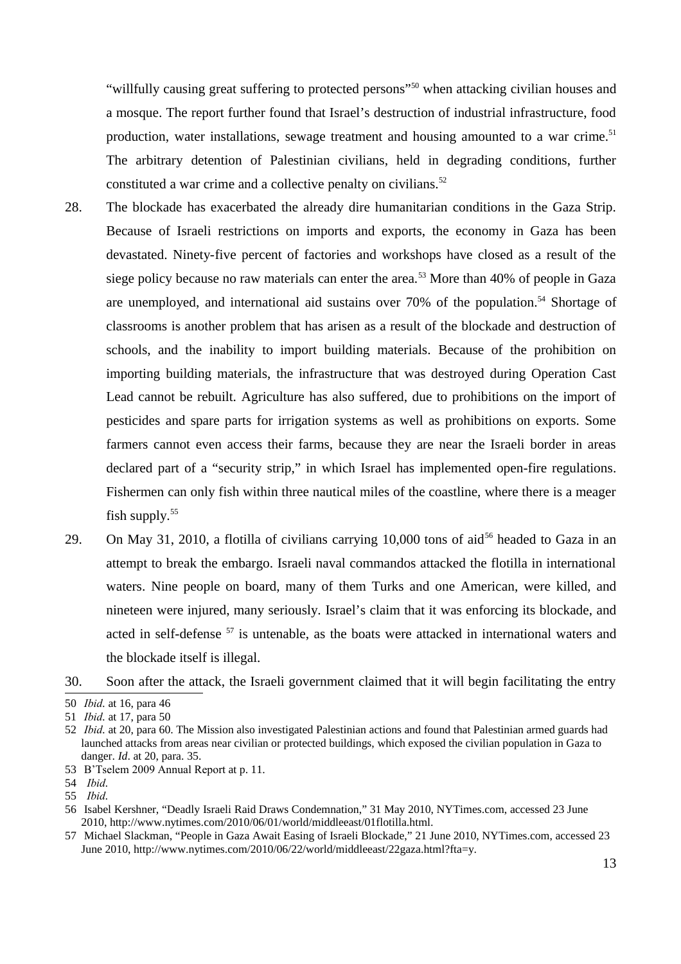"willfully causing great suffering to protected persons"<sup>[50](#page-12-0)</sup> when attacking civilian houses and a mosque. The report further found that Israel's destruction of industrial infrastructure, food production, water installations, sewage treatment and housing amounted to a war crime. $51$ The arbitrary detention of Palestinian civilians, held in degrading conditions, further constituted a war crime and a collective penalty on civilians.<sup>[52](#page-12-2)</sup>

- 28. The blockade has exacerbated the already dire humanitarian conditions in the Gaza Strip. Because of Israeli restrictions on imports and exports, the economy in Gaza has been devastated. Ninety-five percent of factories and workshops have closed as a result of the siege policy because no raw materials can enter the area.<sup>[53](#page-12-3)</sup> More than  $40\%$  of people in Gaza are unemployed, and international aid sustains over  $70\%$  of the population.<sup>[54](#page-12-4)</sup> Shortage of classrooms is another problem that has arisen as a result of the blockade and destruction of schools, and the inability to import building materials. Because of the prohibition on importing building materials, the infrastructure that was destroyed during Operation Cast Lead cannot be rebuilt. Agriculture has also suffered, due to prohibitions on the import of pesticides and spare parts for irrigation systems as well as prohibitions on exports. Some farmers cannot even access their farms, because they are near the Israeli border in areas declared part of a "security strip," in which Israel has implemented open-fire regulations. Fishermen can only fish within three nautical miles of the coastline, where there is a meager fish supply. $55$
- 29. On May 31, 2010, a flotilla of civilians carrying 10,000 tons of aid<sup>[56](#page-12-6)</sup> headed to Gaza in an attempt to break the embargo. Israeli naval commandos attacked the flotilla in international waters. Nine people on board, many of them Turks and one American, were killed, and nineteen were injured, many seriously. Israel's claim that it was enforcing its blockade, and acted in self-defense <sup>[57](#page-12-7)</sup> is untenable, as the boats were attacked in international waters and the blockade itself is illegal.
- 30. Soon after the attack, the Israeli government claimed that it will begin facilitating the entry

<span id="page-12-0"></span><sup>50</sup> *Ibid.* at 16, para 46

<span id="page-12-1"></span><sup>51</sup> *Ibid.* at 17, para 50

<span id="page-12-2"></span><sup>52</sup> *Ibid.* at 20, para 60. The Mission also investigated Palestinian actions and found that Palestinian armed guards had launched attacks from areas near civilian or protected buildings, which exposed the civilian population in Gaza to danger. *Id*. at 20, para. 35.

<span id="page-12-3"></span><sup>53</sup> B'Tselem 2009 Annual Report at p. 11.

<span id="page-12-4"></span><sup>54</sup> *Ibid.*

<span id="page-12-5"></span><sup>55</sup> *Ibid.*

<span id="page-12-6"></span><sup>56</sup> Isabel Kershner, "Deadly Israeli Raid Draws Condemnation," 31 May 2010, NYTimes.com, accessed 23 June 2010, http://www.nytimes.com/2010/06/01/world/middleeast/01flotilla.html.

<span id="page-12-7"></span><sup>57</sup> Michael Slackman, "People in Gaza Await Easing of Israeli Blockade," 21 June 2010, NYTimes.com, accessed 23 June 2010, http://www.nytimes.com/2010/06/22/world/middleeast/22gaza.html?fta=y.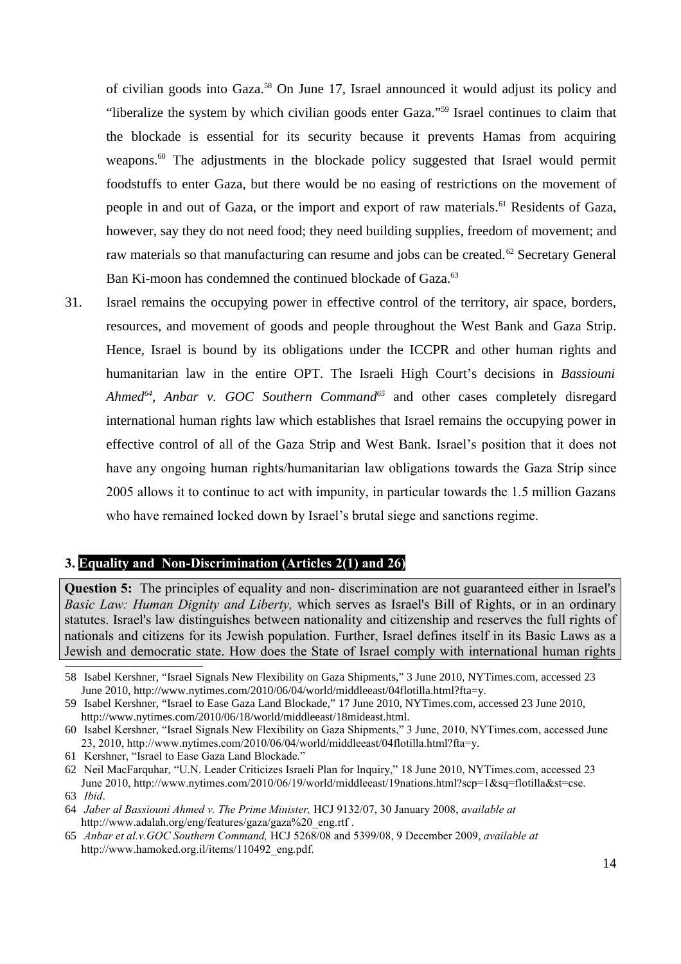of civilian goods into Gaza.<sup>[58](#page-13-0)</sup> On June 17, Israel announced it would adjust its policy and "liberalize the system by which civilian goods enter Gaza."[59](#page-13-1) Israel continues to claim that the blockade is essential for its security because it prevents Hamas from acquiring weapons. $60$  The adjustments in the blockade policy suggested that Israel would permit foodstuffs to enter Gaza, but there would be no easing of restrictions on the movement of people in and out of Gaza, or the import and export of raw materials.<sup>[61](#page-13-3)</sup> Residents of Gaza, however, say they do not need food; they need building supplies, freedom of movement; and raw materials so that manufacturing can resume and jobs can be created.<sup>[62](#page-13-4)</sup> Secretary General Ban Ki-moon has condemned the continued blockade of Gaza.<sup>[63](#page-13-5)</sup>

31. Israel remains the occupying power in effective control of the territory, air space, borders, resources, and movement of goods and people throughout the West Bank and Gaza Strip. Hence, Israel is bound by its obligations under the ICCPR and other human rights and humanitarian law in the entire OPT. The Israeli High Court's decisions in *Bassiouni Ahmed[64](#page-13-6), Anbar v. GOC Southern Command[65](#page-13-7)* and other cases completely disregard international human rights law which establishes that Israel remains the occupying power in effective control of all of the Gaza Strip and West Bank. Israel's position that it does not have any ongoing human rights/humanitarian law obligations towards the Gaza Strip since 2005 allows it to continue to act with impunity, in particular towards the 1.5 million Gazans who have remained locked down by Israel's brutal siege and sanctions regime.

### **3. Equality and Non-Discrimination (Articles 2(1) and 26)**

**Question 5:** The principles of equality and non- discrimination are not guaranteed either in Israel's *Basic Law: Human Dignity and Liberty,* which serves as Israel's Bill of Rights, or in an ordinary statutes. Israel's law distinguishes between nationality and citizenship and reserves the full rights of nationals and citizens for its Jewish population. Further, Israel defines itself in its Basic Laws as a Jewish and democratic state. How does the State of Israel comply with international human rights

<span id="page-13-0"></span><sup>58</sup> Isabel Kershner, "Israel Signals New Flexibility on Gaza Shipments," 3 June 2010, NYTimes.com, accessed 23 June 2010, http://www.nytimes.com/2010/06/04/world/middleeast/04flotilla.html?fta=y.

<span id="page-13-1"></span><sup>59</sup> Isabel Kershner, "Israel to Ease Gaza Land Blockade," 17 June 2010, NYTimes.com, accessed 23 June 2010, http://www.nytimes.com/2010/06/18/world/middleeast/18mideast.html.

<span id="page-13-2"></span><sup>60</sup> Isabel Kershner, "Israel Signals New Flexibility on Gaza Shipments," 3 June, 2010, NYTimes.com, accessed June 23, 2010, http://www.nytimes.com/2010/06/04/world/middleeast/04flotilla.html?fta=y.

<span id="page-13-3"></span><sup>61</sup> Kershner, "Israel to Ease Gaza Land Blockade."

<span id="page-13-4"></span><sup>62</sup> Neil MacFarquhar, "U.N. Leader Criticizes Israeli Plan for Inquiry," 18 June 2010, NYTimes.com, accessed 23 June 2010, http://www.nytimes.com/2010/06/19/world/middleeast/19nations.html?scp=1&sq=flotilla&st=cse.

<span id="page-13-5"></span><sup>63</sup> *Ibid*.

<span id="page-13-6"></span><sup>64</sup> *Jaber al Bassiouni Ahmed v. The Prime Minister,* HCJ 9132/07, 30 January 2008, *available at* http://www.adalah.org/eng/features/gaza/gaza%20\_eng.rtf .

<span id="page-13-7"></span><sup>65</sup> *Anbar et al.v.GOC Southern Command,* HCJ 5268/08 and 5399/08, 9 December 2009, *available at* http://www.hamoked.org.il/items/110492\_eng.pdf.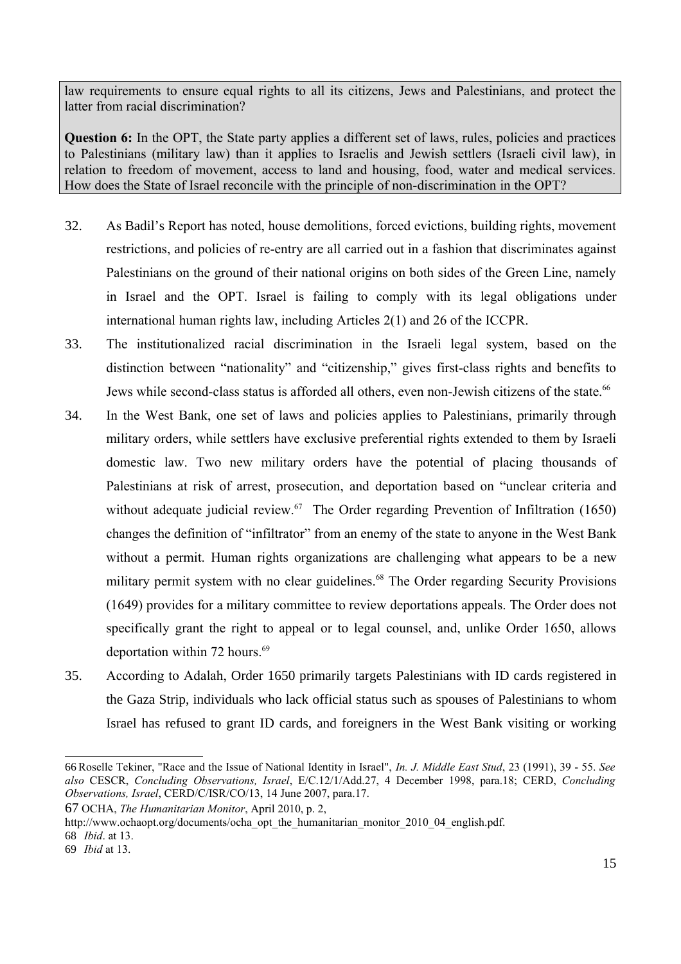law requirements to ensure equal rights to all its citizens, Jews and Palestinians, and protect the latter from racial discrimination?

**Question 6:** In the OPT, the State party applies a different set of laws, rules, policies and practices to Palestinians (military law) than it applies to Israelis and Jewish settlers (Israeli civil law), in relation to freedom of movement, access to land and housing, food, water and medical services. How does the State of Israel reconcile with the principle of non-discrimination in the OPT?

- 32. As Badil's Report has noted, house demolitions, forced evictions, building rights, movement restrictions, and policies of re-entry are all carried out in a fashion that discriminates against Palestinians on the ground of their national origins on both sides of the Green Line, namely in Israel and the OPT. Israel is failing to comply with its legal obligations under international human rights law, including Articles 2(1) and 26 of the ICCPR.
- 33. The institutionalized racial discrimination in the Israeli legal system, based on the distinction between "nationality" and "citizenship," gives first-class rights and benefits to Jews while second-class status is afforded all others, even non-Jewish citizens of the state.<sup>[66](#page-14-0)</sup>
- 34. In the West Bank, one set of laws and policies applies to Palestinians, primarily through military orders, while settlers have exclusive preferential rights extended to them by Israeli domestic law. Two new military orders have the potential of placing thousands of Palestinians at risk of arrest, prosecution, and deportation based on "unclear criteria and without adequate judicial review.<sup>[67](#page-14-1)</sup> The Order regarding Prevention of Infiltration (1650) changes the definition of "infiltrator" from an enemy of the state to anyone in the West Bank without a permit. Human rights organizations are challenging what appears to be a new military permit system with no clear guidelines.<sup>[68](#page-14-2)</sup> The Order regarding Security Provisions (1649) provides for a military committee to review deportations appeals. The Order does not specifically grant the right to appeal or to legal counsel, and, unlike Order 1650, allows deportation within 72 hours.<sup>[69](#page-14-3)</sup>
- 35. According to Adalah, Order 1650 primarily targets Palestinians with ID cards registered in the Gaza Strip, individuals who lack official status such as spouses of Palestinians to whom Israel has refused to grant ID cards, and foreigners in the West Bank visiting or working

http://www.ochaopt.org/documents/ocha\_opt\_the\_humanitarian\_monitor\_2010\_04\_english.pdf.

<span id="page-14-0"></span><sup>66</sup> Roselle Tekiner, "Race and the Issue of National Identity in Israel", *In. J. Middle East Stud*, 23 (1991), 39 - 55. *See also* CESCR, *Concluding Observations, Israel*, E/C.12/1/Add.27, 4 December 1998, para.18; CERD, *Concluding Observations, Israel*, CERD/C/ISR/CO/13, 14 June 2007, para.17.

<span id="page-14-1"></span><sup>67</sup> OCHA, *The Humanitarian Monitor*, April 2010, p. 2,

<span id="page-14-2"></span><sup>68</sup> *Ibid*. at 13.

<span id="page-14-3"></span><sup>69</sup> *Ibid* at 13.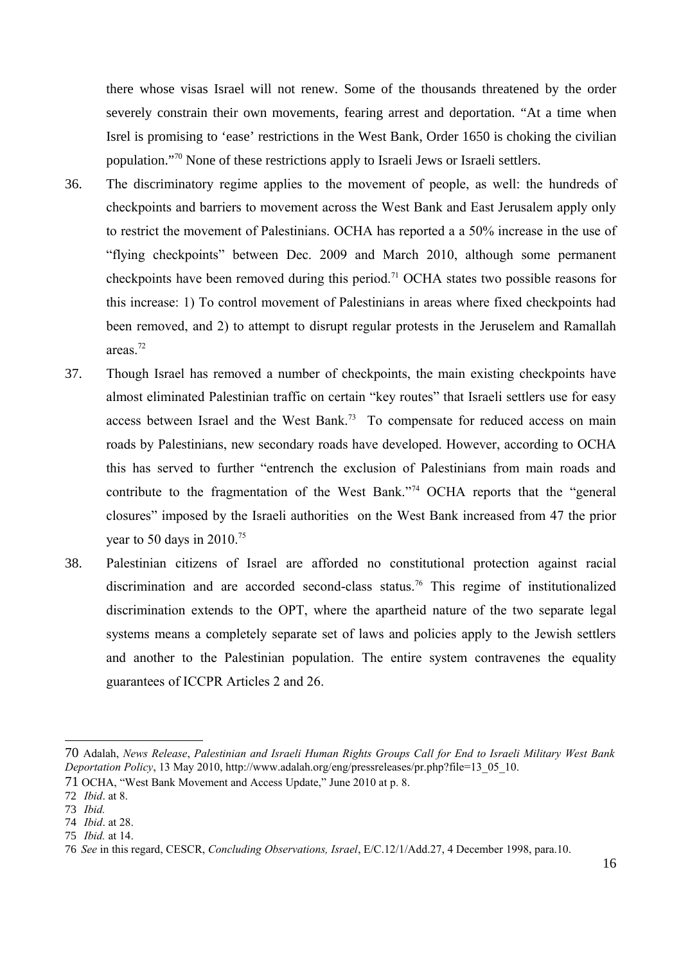there whose visas Israel will not renew. Some of the thousands threatened by the order severely constrain their own movements, fearing arrest and deportation. "At a time when Isrel is promising to 'ease' restrictions in the West Bank, Order 1650 is choking the civilian population."[70](#page-15-0) None of these restrictions apply to Israeli Jews or Israeli settlers.

- 36. The discriminatory regime applies to the movement of people, as well: the hundreds of checkpoints and barriers to movement across the West Bank and East Jerusalem apply only to restrict the movement of Palestinians. OCHA has reported a a 50% increase in the use of "flying checkpoints" between Dec. 2009 and March 2010, although some permanent checkpoints have been removed during this period.<sup>[71](#page-15-1)</sup> OCHA states two possible reasons for this increase: 1) To control movement of Palestinians in areas where fixed checkpoints had been removed, and 2) to attempt to disrupt regular protests in the Jeruselem and Ramallah areas.[72](#page-15-2)
- 37. Though Israel has removed a number of checkpoints, the main existing checkpoints have almost eliminated Palestinian traffic on certain "key routes" that Israeli settlers use for easy access between Israel and the West Bank.<sup>[73](#page-15-3)</sup> To compensate for reduced access on main roads by Palestinians, new secondary roads have developed. However, according to OCHA this has served to further "entrench the exclusion of Palestinians from main roads and contribute to the fragmentation of the West Bank."[74](#page-15-4) OCHA reports that the "general closures" imposed by the Israeli authorities on the West Bank increased from 47 the prior year to 50 days in 2010.<sup>[75](#page-15-5)</sup>
- 38. Palestinian citizens of Israel are afforded no constitutional protection against racial discrimination and are accorded second-class status. [76](#page-15-6) This regime of institutionalized discrimination extends to the OPT, where the apartheid nature of the two separate legal systems means a completely separate set of laws and policies apply to the Jewish settlers and another to the Palestinian population. The entire system contravenes the equality guarantees of ICCPR Articles 2 and 26.

<span id="page-15-0"></span><sup>70</sup> Adalah, *News Release*, *Palestinian and Israeli Human Rights Groups Call for End to Israeli Military West Bank Deportation Policy*, 13 May 2010, http://www.adalah.org/eng/pressreleases/pr.php?file=13\_05\_10.

<span id="page-15-1"></span><sup>71</sup> OCHA, "West Bank Movement and Access Update," June 2010 at p. 8.

<span id="page-15-2"></span><sup>72</sup> *Ibid*. at 8.

<span id="page-15-3"></span><sup>73</sup> *Ibid.*

<span id="page-15-4"></span><sup>74</sup> *Ibid*. at 28.

<span id="page-15-5"></span><sup>75</sup> *Ibid.* at 14.

<span id="page-15-6"></span><sup>76</sup> *See* in this regard, CESCR, *Concluding Observations, Israel*, E/C.12/1/Add.27, 4 December 1998, para.10.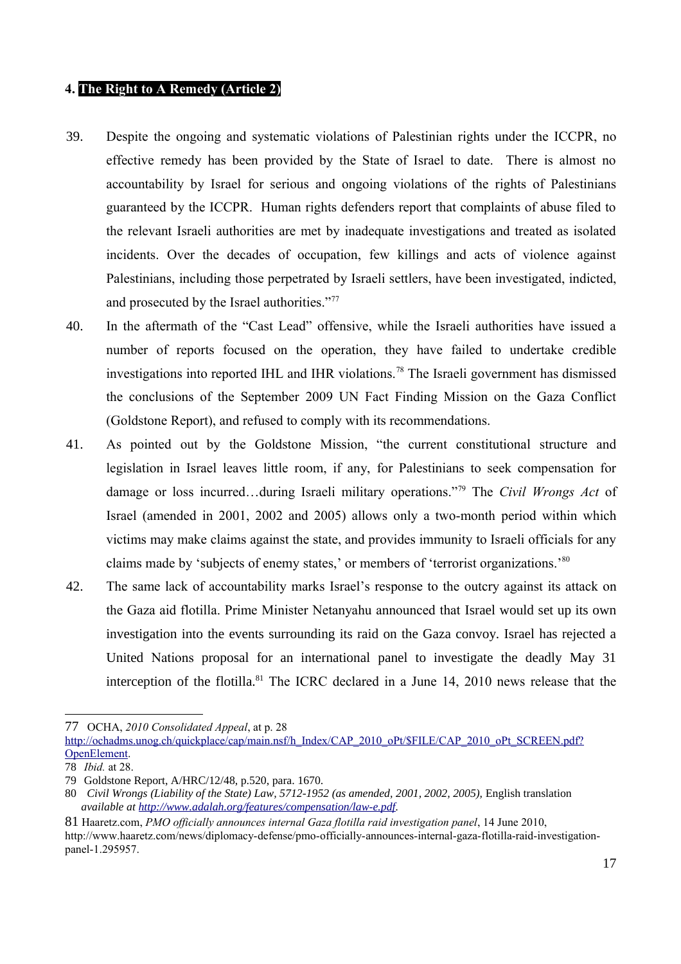## **4. The Right to A Remedy (Article 2)**

- 39. Despite the ongoing and systematic violations of Palestinian rights under the ICCPR, no effective remedy has been provided by the State of Israel to date. There is almost no accountability by Israel for serious and ongoing violations of the rights of Palestinians guaranteed by the ICCPR. Human rights defenders report that complaints of abuse filed to the relevant Israeli authorities are met by inadequate investigations and treated as isolated incidents. Over the decades of occupation, few killings and acts of violence against Palestinians, including those perpetrated by Israeli settlers, have been investigated, indicted, and prosecuted by the Israel authorities."<sup>[77](#page-16-0)</sup>
- 40. In the aftermath of the "Cast Lead" offensive, while the Israeli authorities have issued a number of reports focused on the operation, they have failed to undertake credible investigations into reported IHL and IHR violations.[78](#page-16-1) The Israeli government has dismissed the conclusions of the September 2009 UN Fact Finding Mission on the Gaza Conflict (Goldstone Report), and refused to comply with its recommendations.
- 41. As pointed out by the Goldstone Mission, "the current constitutional structure and legislation in Israel leaves little room, if any, for Palestinians to seek compensation for damage or loss incurred…during Israeli military operations."[79](#page-16-2) The *Civil Wrongs Act* of Israel (amended in 2001, 2002 and 2005) allows only a two-month period within which victims may make claims against the state, and provides immunity to Israeli officials for any claims made by 'subjects of enemy states,' or members of 'terrorist organizations.'[80](#page-16-3)
- 42. The same lack of accountability marks Israel's response to the outcry against its attack on the Gaza aid flotilla. Prime Minister Netanyahu announced that Israel would set up its own investigation into the events surrounding its raid on the Gaza convoy. Israel has rejected a United Nations proposal for an international panel to investigate the deadly May 31 interception of the flotilla.<sup>[81](#page-16-4)</sup> The ICRC declared in a June 14, 2010 news release that the

<span id="page-16-0"></span><sup>77</sup> OCHA, *2010 Consolidated Appeal*, at p. 28

[http://ochadms.unog.ch/quickplace/cap/main.nsf/h\\_Index/CAP\\_2010\\_oPt/\\$FILE/CAP\\_2010\\_oPt\\_SCREEN.pdf?](http://ochadms.unog.ch/quickplace/cap/main.nsf/h_Index/CAP_2010_oPt/$FILE/CAP_2010_oPt_SCREEN.pdf?OpenElement) [OpenElement.](http://ochadms.unog.ch/quickplace/cap/main.nsf/h_Index/CAP_2010_oPt/$FILE/CAP_2010_oPt_SCREEN.pdf?OpenElement)

<span id="page-16-1"></span><sup>78</sup> *Ibid.* at 28.

<span id="page-16-2"></span><sup>79</sup> Goldstone Report, A/HRC/12/48, p.520, para. 1670.

<span id="page-16-3"></span><sup>80</sup> *Civil Wrongs (Liability of the State) Law, 5712-1952 (as amended, 2001, 2002, 2005),* English translation *available at [http://www.adalah.org/features/compensation/law-e.pdf.](http://www.adalah.org/features/compensation/law-e.pdf)* 

<span id="page-16-4"></span><sup>81</sup> Haaretz.com, *PMO officially announces internal Gaza flotilla raid investigation panel*, 14 June 2010, http://www.haaretz.com/news/diplomacy-defense/pmo-officially-announces-internal-gaza-flotilla-raid-investigationpanel-1.295957.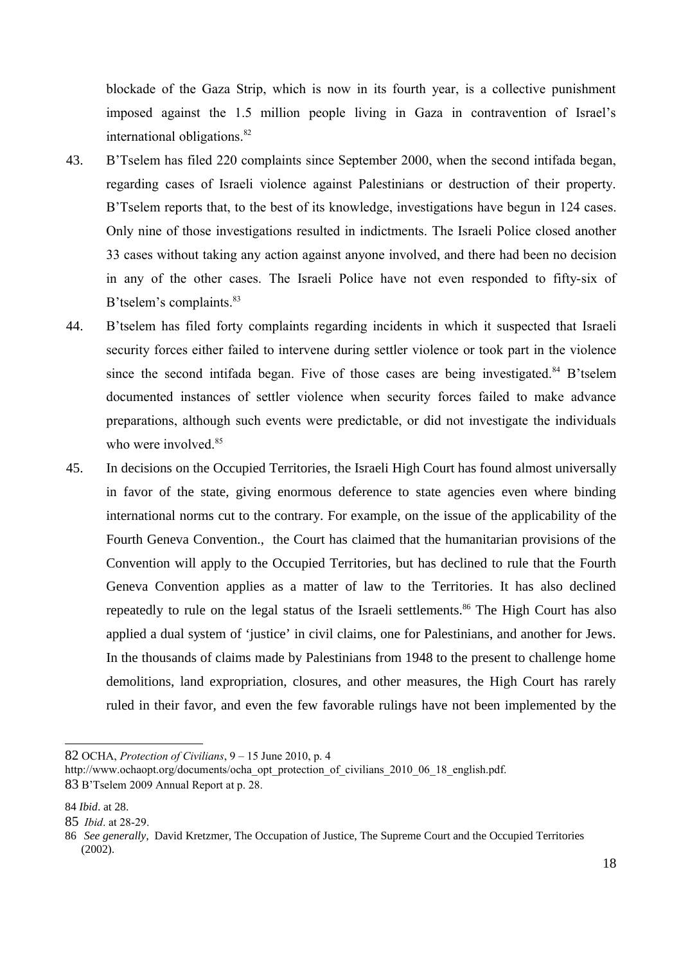blockade of the Gaza Strip, which is now in its fourth year, is a collective punishment imposed against the 1.5 million people living in Gaza in contravention of Israel's international obligations.<sup>[82](#page-17-0)</sup>

- 43. B'Tselem has filed 220 complaints since September 2000, when the second intifada began, regarding cases of Israeli violence against Palestinians or destruction of their property. B'Tselem reports that, to the best of its knowledge, investigations have begun in 124 cases. Only nine of those investigations resulted in indictments. The Israeli Police closed another 33 cases without taking any action against anyone involved, and there had been no decision in any of the other cases. The Israeli Police have not even responded to fifty-six of B'tselem's complaints.<sup>[83](#page-17-1)</sup>
- 44. B'tselem has filed forty complaints regarding incidents in which it suspected that Israeli security forces either failed to intervene during settler violence or took part in the violence since the second intifada began. Five of those cases are being investigated. $84$  B'tselem documented instances of settler violence when security forces failed to make advance preparations, although such events were predictable, or did not investigate the individuals who were involved.<sup>[85](#page-17-3)</sup>
- 45. In decisions on the Occupied Territories, the Israeli High Court has found almost universally in favor of the state, giving enormous deference to state agencies even where binding international norms cut to the contrary. For example, on the issue of the applicability of the Fourth Geneva Convention., the Court has claimed that the humanitarian provisions of the Convention will apply to the Occupied Territories, but has declined to rule that the Fourth Geneva Convention applies as a matter of law to the Territories. It has also declined repeatedly to rule on the legal status of the Israeli settlements.<sup>[86](#page-17-4)</sup> The High Court has also applied a dual system of 'justice' in civil claims, one for Palestinians, and another for Jews. In the thousands of claims made by Palestinians from 1948 to the present to challenge home demolitions, land expropriation, closures, and other measures, the High Court has rarely ruled in their favor, and even the few favorable rulings have not been implemented by the

<span id="page-17-0"></span>82 OCHA, *Protection of Civilians*, 9 – 15 June 2010, p. 4

<span id="page-17-1"></span>http://www.ochaopt.org/documents/ocha\_opt\_protection\_of\_civilians\_2010\_06\_18\_english.pdf. 83 B'Tselem 2009 Annual Report at p. 28.

<span id="page-17-2"></span><sup>84</sup> *Ibid*. at 28.

<span id="page-17-3"></span><sup>85</sup> *Ibid*. at 28-29.

<span id="page-17-4"></span><sup>86</sup> *See generally,* David Kretzmer, The Occupation of Justice, The Supreme Court and the Occupied Territories  $(2002)$ .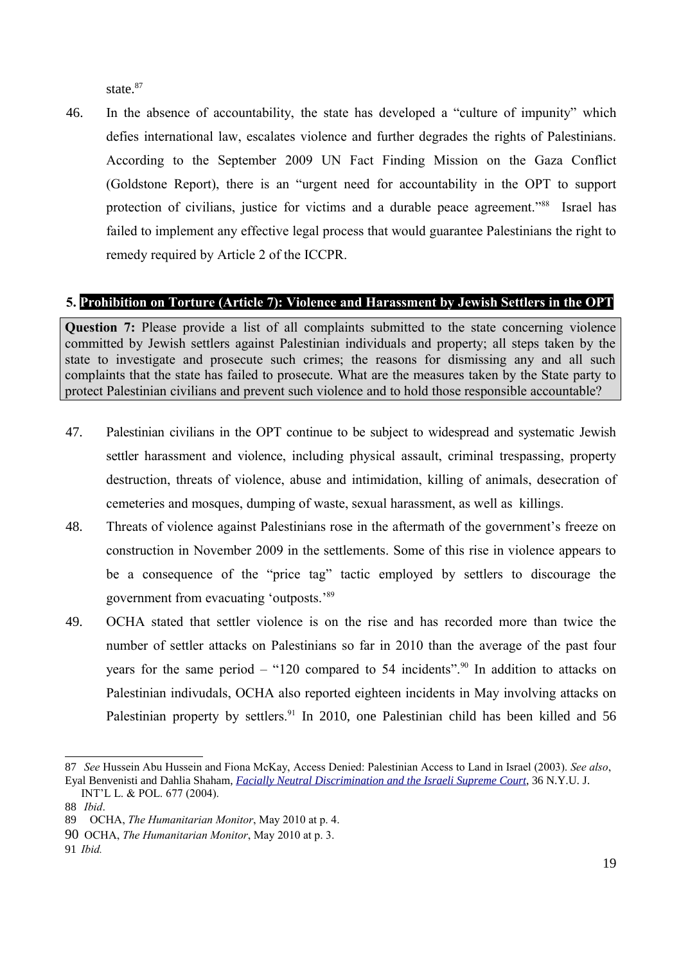state.<sup>[87](#page-18-0)</sup>

46. In the absence of accountability, the state has developed a "culture of impunity" which defies international law, escalates violence and further degrades the rights of Palestinians. According to the September 2009 UN Fact Finding Mission on the Gaza Conflict (Goldstone Report), there is an "urgent need for accountability in the OPT to support protection of civilians, justice for victims and a durable peace agreement."<sup>[88](#page-18-1)</sup> Israel has failed to implement any effective legal process that would guarantee Palestinians the right to remedy required by Article 2 of the ICCPR.

## **5. Prohibition on Torture (Article 7): Violence and Harassment by Jewish Settlers in the OPT**

**Question 7:** Please provide a list of all complaints submitted to the state concerning violence committed by Jewish settlers against Palestinian individuals and property; all steps taken by the state to investigate and prosecute such crimes; the reasons for dismissing any and all such complaints that the state has failed to prosecute. What are the measures taken by the State party to protect Palestinian civilians and prevent such violence and to hold those responsible accountable?

- 47. Palestinian civilians in the OPT continue to be subject to widespread and systematic Jewish settler harassment and violence, including physical assault, criminal trespassing, property destruction, threats of violence, abuse and intimidation, killing of animals, desecration of cemeteries and mosques, dumping of waste, sexual harassment, as well as killings.
- 48. Threats of violence against Palestinians rose in the aftermath of the government's freeze on construction in November 2009 in the settlements. Some of this rise in violence appears to be a consequence of the "price tag" tactic employed by settlers to discourage the government from evacuating 'outposts.'[89](#page-18-2)
- 49. OCHA stated that settler violence is on the rise and has recorded more than twice the number of settler attacks on Palestinians so far in 2010 than the average of the past four years for the same period – "120 compared to 54 incidents".<sup>[90](#page-18-3)</sup> In addition to attacks on Palestinian indivudals, OCHA also reported eighteen incidents in May involving attacks on Palestinian property by settlers.<sup>[91](#page-18-4)</sup> In 2010, one Palestinian child has been killed and 56

<span id="page-18-4"></span>91 *Ibid.*

<span id="page-18-0"></span><sup>87</sup> *See* Hussein Abu Hussein and Fiona McKay, Access Denied: Palestinian Access to Land in Israel (2003). *See also*, Eyal Benvenisti and Dahlia Shaham, *[Facially Neutral Discrimination and the Israeli Supreme Court](http://www.law.nyu.edu/journals/jilp/issues/jilpvolume36/ECM_PRO_059606)*, 36 N.Y.U. J.

INT'L L. & POL. 677 (2004).

<span id="page-18-1"></span><sup>88</sup> *Ibid*.

<span id="page-18-2"></span><sup>89</sup> OCHA, *The Humanitarian Monitor*, May 2010 at p. 4.

<span id="page-18-3"></span><sup>90</sup> OCHA, *The Humanitarian Monitor*, May 2010 at p. 3.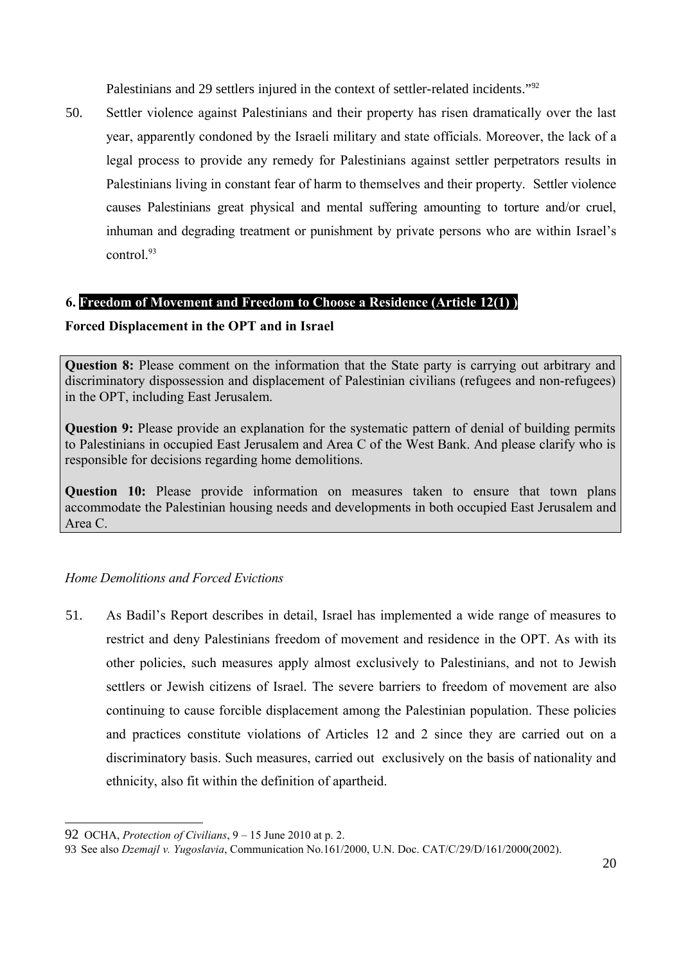Palestinians and 29 settlers injured in the context of settler-related incidents."<sup>[92](#page-19-0)</sup>

50. Settler violence against Palestinians and their property has risen dramatically over the last year, apparently condoned by the Israeli military and state officials. Moreover, the lack of a legal process to provide any remedy for Palestinians against settler perpetrators results in Palestinians living in constant fear of harm to themselves and their property. Settler violence causes Palestinians great physical and mental suffering amounting to torture and/or cruel, inhuman and degrading treatment or punishment by private persons who are within Israel's control $^{93}$  $^{93}$  $^{93}$ 

### **6. Freedom of Movement and Freedom to Choose a Residence (Article 12(1) )**

## **Forced Displacement in the OPT and in Israel**

**Question 8:** Please comment on the information that the State party is carrying out arbitrary and discriminatory dispossession and displacement of Palestinian civilians (refugees and non-refugees) in the OPT, including East Jerusalem.

**Question 9:** Please provide an explanation for the systematic pattern of denial of building permits to Palestinians in occupied East Jerusalem and Area C of the West Bank. And please clarify who is responsible for decisions regarding home demolitions.

**Question 10:** Please provide information on measures taken to ensure that town plans accommodate the Palestinian housing needs and developments in both occupied East Jerusalem and Area C.

## *Home Demolitions and Forced Evictions*

51. As Badil's Report describes in detail, Israel has implemented a wide range of measures to restrict and deny Palestinians freedom of movement and residence in the OPT. As with its other policies, such measures apply almost exclusively to Palestinians, and not to Jewish settlers or Jewish citizens of Israel. The severe barriers to freedom of movement are also continuing to cause forcible displacement among the Palestinian population. These policies and practices constitute violations of Articles 12 and 2 since they are carried out on a discriminatory basis. Such measures, carried out exclusively on the basis of nationality and ethnicity, also fit within the definition of apartheid.

<span id="page-19-0"></span><sup>92</sup> OCHA, *Protection of Civilians*, 9 – 15 June 2010 at p. 2.

<span id="page-19-1"></span><sup>93</sup> See also *Dzemajl v. Yugoslavia*, Communication No.161/2000, U.N. Doc. CAT/C/29/D/161/2000(2002).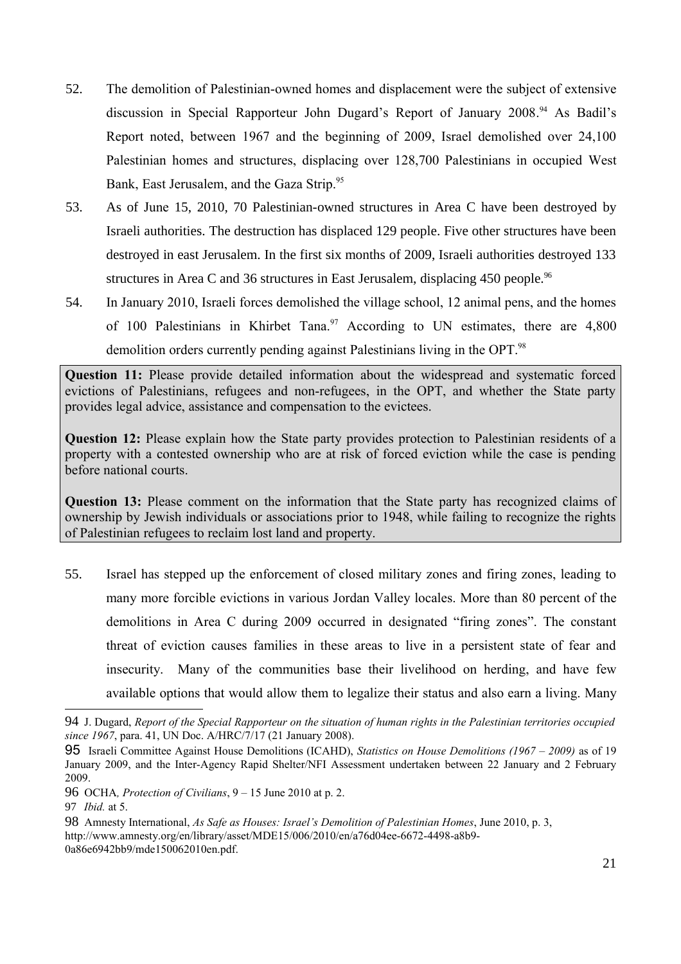- 52. The demolition of Palestinian-owned homes and displacement were the subject of extensive discussion in Special Rapporteur John Dugard's Report of January 2008. [94](#page-20-0) As Badil's Report noted, between 1967 and the beginning of 2009, Israel demolished over 24,100 Palestinian homes and structures, displacing over 128,700 Palestinians in occupied West Bank, East Jerusalem, and the Gaza Strip.<sup>[95](#page-20-1)</sup>
- 53. As of June 15, 2010, 70 Palestinian-owned structures in Area C have been destroyed by Israeli authorities. The destruction has displaced 129 people. Five other structures have been destroyed in east Jerusalem. In the first six months of 2009, Israeli authorities destroyed 133 structures in Area C and 36 structures in East Jerusalem, displacing 450 people.<sup>[96](#page-20-2)</sup>
- 54. In January 2010, Israeli forces demolished the village school, 12 animal pens, and the homes of 100 Palestinians in Khirbet Tana.<sup>[97](#page-20-3)</sup> According to UN estimates, there are  $4,800$ demolition orders currently pending against Palestinians living in the OPT.<sup>[98](#page-20-4)</sup>

**Question 11:** Please provide detailed information about the widespread and systematic forced evictions of Palestinians, refugees and non-refugees, in the OPT, and whether the State party provides legal advice, assistance and compensation to the evictees.

**Question 12:** Please explain how the State party provides protection to Palestinian residents of a property with a contested ownership who are at risk of forced eviction while the case is pending before national courts.

**Question 13:** Please comment on the information that the State party has recognized claims of ownership by Jewish individuals or associations prior to 1948, while failing to recognize the rights of Palestinian refugees to reclaim lost land and property.

55. Israel has stepped up the enforcement of closed military zones and firing zones, leading to many more forcible evictions in various Jordan Valley locales. More than 80 percent of the demolitions in Area C during 2009 occurred in designated "firing zones". The constant threat of eviction causes families in these areas to live in a persistent state of fear and insecurity. Many of the communities base their livelihood on herding, and have few available options that would allow them to legalize their status and also earn a living. Many

<span id="page-20-0"></span><sup>94</sup> J. Dugard, *Report of the Special Rapporteur on the situation of human rights in the Palestinian territories occupied since 1967*, para. 41, UN Doc. A/HRC/7/17 (21 January 2008).

<span id="page-20-1"></span><sup>95</sup> Israeli Committee Against House Demolitions (ICAHD), *Statistics on House Demolitions (1967 – 2009)* as of 19 January 2009, and the Inter-Agency Rapid Shelter/NFI Assessment undertaken between 22 January and 2 February 2009.

<span id="page-20-2"></span><sup>96</sup> OCHA*, Protection of Civilians*, 9 – 15 June 2010 at p. 2.

<span id="page-20-3"></span><sup>97</sup> *Ibid.* at 5.

<span id="page-20-4"></span><sup>98</sup> Amnesty International, *As Safe as Houses: Israel's Demolition of Palestinian Homes*, June 2010, p. 3, http://www.amnesty.org/en/library/asset/MDE15/006/2010/en/a76d04ee-6672-4498-a8b9- 0a86e6942bb9/mde150062010en.pdf.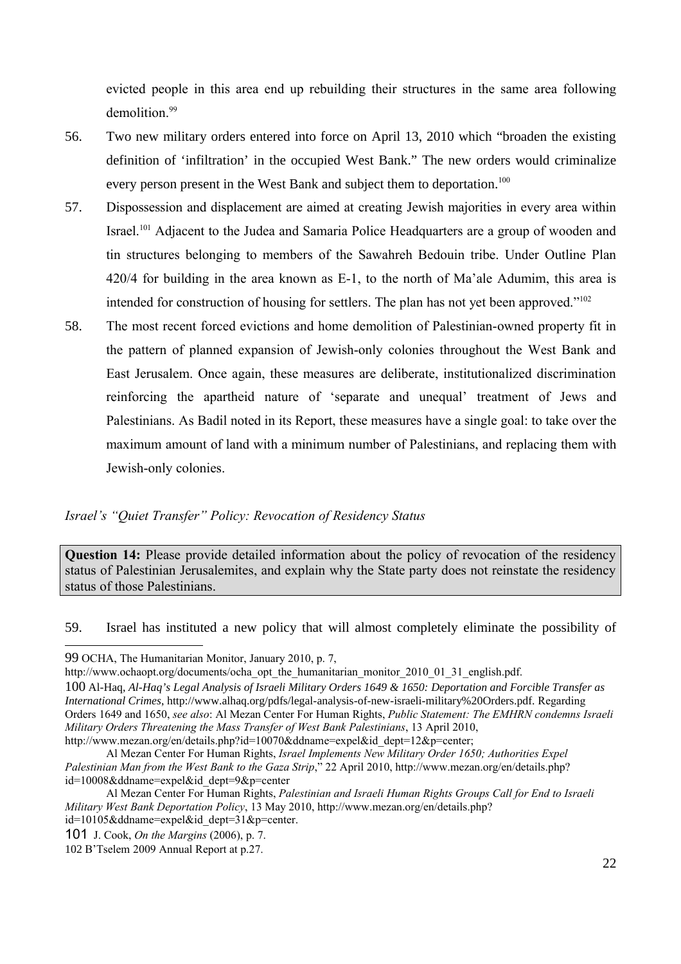evicted people in this area end up rebuilding their structures in the same area following demolition<sup>[99](#page-21-0)</sup>

- 56. Two new military orders entered into force on April 13, 2010 which "broaden the existing definition of 'infiltration' in the occupied West Bank." The new orders would criminalize every person present in the West Bank and subject them to deportation.<sup>[100](#page-21-1)</sup>
- 57. Dispossession and displacement are aimed at creating Jewish majorities in every area within Israel.<sup>[101](#page-21-2)</sup> Adjacent to the Judea and Samaria Police Headquarters are a group of wooden and tin structures belonging to members of the Sawahreh Bedouin tribe. Under Outline Plan 420/4 for building in the area known as E-1, to the north of Ma'ale Adumim, this area is intended for construction of housing for settlers. The plan has not yet been approved."[102](#page-21-3)
- 58. The most recent forced evictions and home demolition of Palestinian-owned property fit in the pattern of planned expansion of Jewish-only colonies throughout the West Bank and East Jerusalem. Once again, these measures are deliberate, institutionalized discrimination reinforcing the apartheid nature of 'separate and unequal' treatment of Jews and Palestinians. As Badil noted in its Report, these measures have a single goal: to take over the maximum amount of land with a minimum number of Palestinians, and replacing them with Jewish-only colonies.

### *Israel's "Quiet Transfer" Policy: Revocation of Residency Status*

**Question 14:** Please provide detailed information about the policy of revocation of the residency status of Palestinian Jerusalemites, and explain why the State party does not reinstate the residency status of those Palestinians.

59. Israel has instituted a new policy that will almost completely eliminate the possibility of

<span id="page-21-0"></span><sup>99</sup> OCHA, The Humanitarian Monitor, January 2010, p. 7,

http://www.ochaopt.org/documents/ocha\_opt\_the\_humanitarian\_monitor\_2010\_01\_31\_english.pdf.

<span id="page-21-1"></span><sup>100</sup> Al-Haq, *Al-Haq's Legal Analysis of Israeli Military Orders 1649 & 1650: Deportation and Forcible Transfer as International Crimes*, http://www.alhaq.org/pdfs/legal-analysis-of-new-israeli-military%20Orders.pdf. Regarding Orders 1649 and 1650, *see also*: Al Mezan Center For Human Rights, *Public Statement: The EMHRN condemns Israeli Military Orders Threatening the Mass Transfer of West Bank Palestinians*, 13 April 2010, http://www.mezan.org/en/details.php?id=10070&ddname=expel&id\_dept=12&p=center;

Al Mezan Center For Human Rights, *Israel Implements New Military Order 1650; Authorities Expel Palestinian Man from the West Bank to the Gaza Strip*," 22 April 2010, http://www.mezan.org/en/details.php? id=10008&ddname=expel&id\_dept=9&p=center

Al Mezan Center For Human Rights, *Palestinian and Israeli Human Rights Groups Call for End to Israeli Military West Bank Deportation Policy*, 13 May 2010, http://www.mezan.org/en/details.php? id=10105&ddname=expel&id\_dept=31&p=center.

<span id="page-21-2"></span><sup>101</sup> J. Cook, *On the Margins* (2006), p. 7.

<span id="page-21-3"></span><sup>102</sup> B'Tselem 2009 Annual Report at p.27.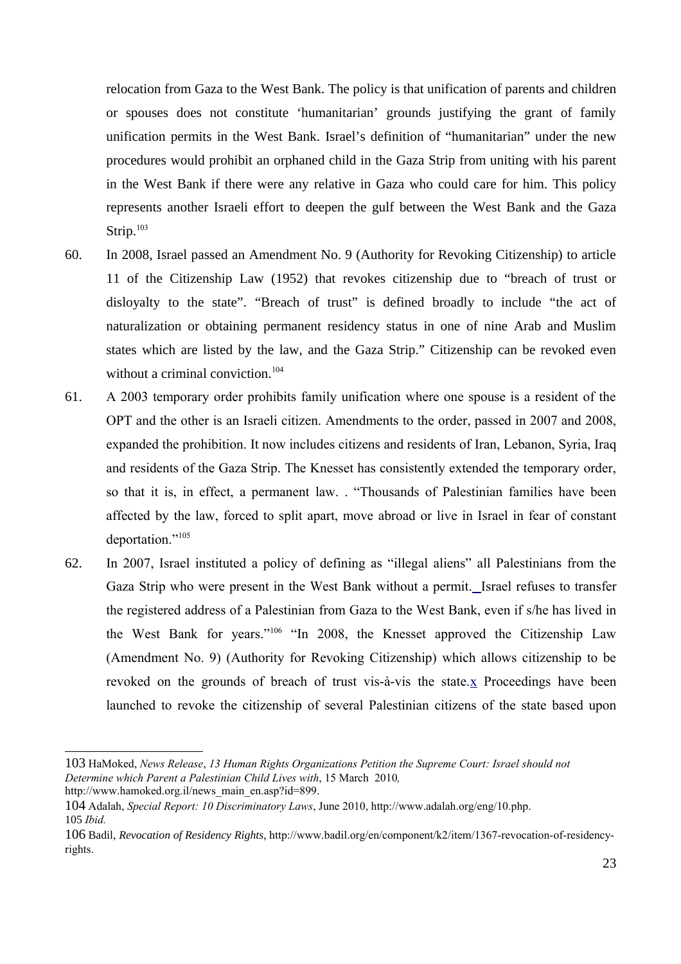relocation from Gaza to the West Bank. The policy is that unification of parents and children or spouses does not constitute 'humanitarian' grounds justifying the grant of family unification permits in the West Bank. Israel's definition of "humanitarian" under the new procedures would prohibit an orphaned child in the Gaza Strip from uniting with his parent in the West Bank if there were any relative in Gaza who could care for him. This policy represents another Israeli effort to deepen the gulf between the West Bank and the Gaza Strip. $103$ 

- 60. In 2008, Israel passed an Amendment No. 9 (Authority for Revoking Citizenship) to article 11 of the Citizenship Law (1952) that revokes citizenship due to "breach of trust or disloyalty to the state". "Breach of trust" is defined broadly to include "the act of naturalization or obtaining permanent residency status in one of nine Arab and Muslim states which are listed by the law, and the Gaza Strip." Citizenship can be revoked even without a criminal conviction. $104$
- 61. A 2003 temporary order prohibits family unification where one spouse is a resident of the OPT and the other is an Israeli citizen. Amendments to the order, passed in 2007 and 2008, expanded the prohibition. It now includes citizens and residents of Iran, Lebanon, Syria, Iraq and residents of the Gaza Strip. The Knesset has consistently extended the temporary order, so that it is, in effect, a permanent law. . "Thousands of Palestinian families have been affected by the law, forced to split apart, move abroad or live in Israel in fear of constant deportation."<sup>[105](#page-22-2)</sup>
- 62. In 2007, Israel instituted a policy of defining as "illegal aliens" all Palestinians from the Gaza Strip who were present in the West Bank without a permit. Israel refuses to transfer the registered address of a Palestinian from Gaza to the West Bank, even if s/he has lived in the West Bank for years."[106](#page-22-3) "In 2008, the Knesset approved the Citizenship Law (Amendment No. 9) (Authority for Revoking Citizenship) which allows citizenship to be revoked on the grounds of breach of trust vis-à-vis the state. $x$  Proceedings have been launched to revoke the citizenship of several Palestinian citizens of the state based upon

<span id="page-22-0"></span><sup>103</sup> HaMoked, *News Release*, *13 Human Rights Organizations Petition the Supreme Court: Israel should not Determine which Parent a Palestinian Child Lives with*, 15 March 2010*,* http://www.hamoked.org.il/news\_main\_en.asp?id=899.

<span id="page-22-2"></span><span id="page-22-1"></span><sup>104</sup> Adalah, *Special Report: 10 Discriminatory Laws*, June 2010, http://www.adalah.org/eng/10.php. 105 *Ibid.*

<span id="page-22-3"></span><sup>106</sup> Badil, *Revocation of Residency Rights*, http://www.badil.org/en/component/k2/item/1367-revocation-of-residencyrights.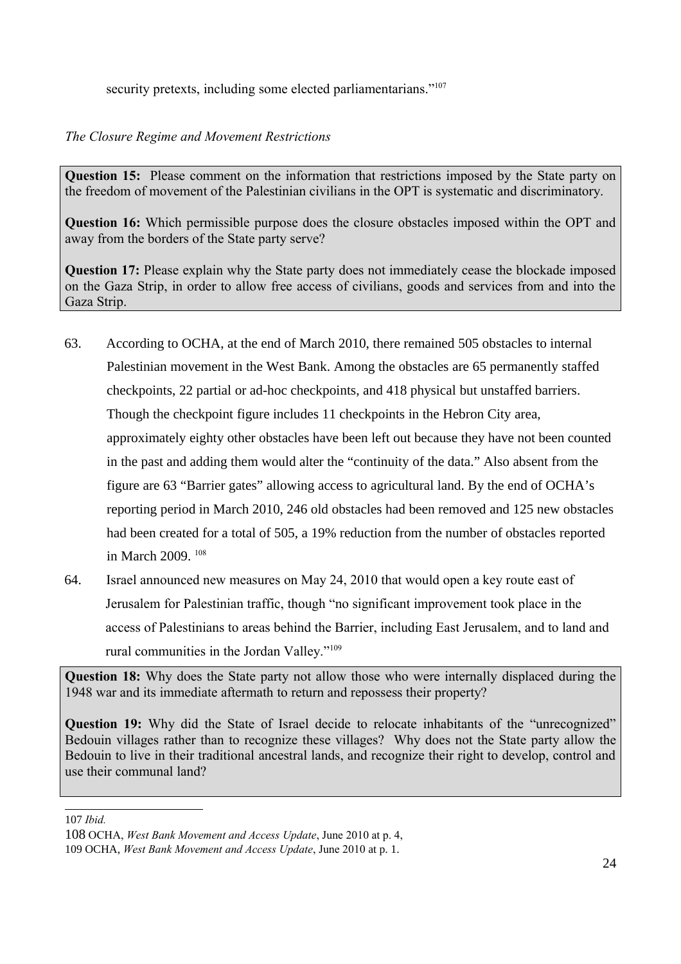security pretexts, including some elected parliamentarians."<sup>[107](#page-23-0)</sup>

## *The Closure Regime and Movement Restrictions*

**Question 15:** Please comment on the information that restrictions imposed by the State party on the freedom of movement of the Palestinian civilians in the OPT is systematic and discriminatory.

**Question 16:** Which permissible purpose does the closure obstacles imposed within the OPT and away from the borders of the State party serve?

**Question 17:** Please explain why the State party does not immediately cease the blockade imposed on the Gaza Strip, in order to allow free access of civilians, goods and services from and into the Gaza Strip.

- 63. According to OCHA, at the end of March 2010, there remained 505 obstacles to internal Palestinian movement in the West Bank. Among the obstacles are 65 permanently staffed checkpoints, 22 partial or ad-hoc checkpoints, and 418 physical but unstaffed barriers. Though the checkpoint figure includes 11 checkpoints in the Hebron City area, approximately eighty other obstacles have been left out because they have not been counted in the past and adding them would alter the "continuity of the data." Also absent from the figure are 63 "Barrier gates" allowing access to agricultural land. By the end of OCHA's reporting period in March 2010, 246 old obstacles had been removed and 125 new obstacles had been created for a total of 505, a 19% reduction from the number of obstacles reported in March 2009. [108](#page-23-1)
- 64. Israel announced new measures on May 24, 2010 that would open a key route east of Jerusalem for Palestinian traffic, though "no significant improvement took place in the access of Palestinians to areas behind the Barrier, including East Jerusalem, and to land and rural communities in the Jordan Valley."[109](#page-23-2)

**Question 18:** Why does the State party not allow those who were internally displaced during the 1948 war and its immediate aftermath to return and repossess their property?

**Question 19:** Why did the State of Israel decide to relocate inhabitants of the "unrecognized" Bedouin villages rather than to recognize these villages? Why does not the State party allow the Bedouin to live in their traditional ancestral lands, and recognize their right to develop, control and use their communal land?

<span id="page-23-0"></span>107 *Ibid.*

<span id="page-23-1"></span><sup>108</sup> OCHA, *West Bank Movement and Access Update*, June 2010 at p. 4,

<span id="page-23-2"></span><sup>109</sup> OCHA, *West Bank Movement and Access Update*, June 2010 at p. 1.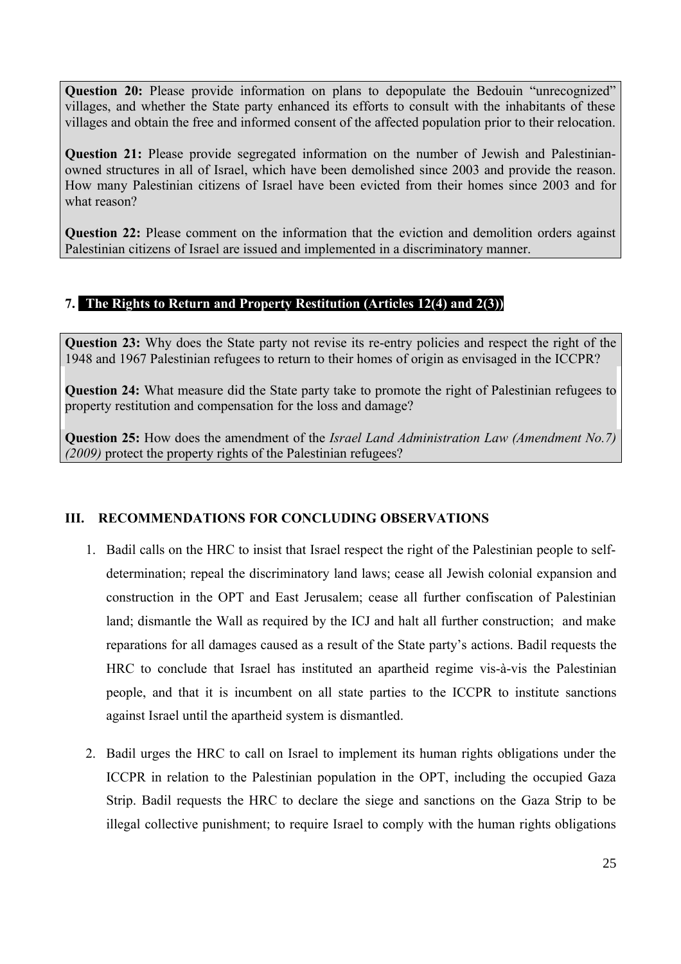**Question 20:** Please provide information on plans to depopulate the Bedouin "unrecognized" villages, and whether the State party enhanced its efforts to consult with the inhabitants of these villages and obtain the free and informed consent of the affected population prior to their relocation.

**Question 21:** Please provide segregated information on the number of Jewish and Palestinianowned structures in all of Israel, which have been demolished since 2003 and provide the reason. How many Palestinian citizens of Israel have been evicted from their homes since 2003 and for what reason?

**Question 22:** Please comment on the information that the eviction and demolition orders against Palestinian citizens of Israel are issued and implemented in a discriminatory manner.

# **7. The Rights to Return and Property Restitution (Articles 12(4) and 2(3))**

**Question 23:** Why does the State party not revise its re-entry policies and respect the right of the 1948 and 1967 Palestinian refugees to return to their homes of origin as envisaged in the ICCPR?

**Question 24:** What measure did the State party take to promote the right of Palestinian refugees to property restitution and compensation for the loss and damage?

**Question 25:** How does the amendment of the *Israel Land Administration Law (Amendment No.7) (2009)* protect the property rights of the Palestinian refugees?

## **III. RECOMMENDATIONS FOR CONCLUDING OBSERVATIONS**

- 1. Badil calls on the HRC to insist that Israel respect the right of the Palestinian people to selfdetermination; repeal the discriminatory land laws; cease all Jewish colonial expansion and construction in the OPT and East Jerusalem; cease all further confiscation of Palestinian land; dismantle the Wall as required by the ICJ and halt all further construction; and make reparations for all damages caused as a result of the State party's actions. Badil requests the HRC to conclude that Israel has instituted an apartheid regime vis-à-vis the Palestinian people, and that it is incumbent on all state parties to the ICCPR to institute sanctions against Israel until the apartheid system is dismantled.
- 2. Badil urges the HRC to call on Israel to implement its human rights obligations under the ICCPR in relation to the Palestinian population in the OPT, including the occupied Gaza Strip. Badil requests the HRC to declare the siege and sanctions on the Gaza Strip to be illegal collective punishment; to require Israel to comply with the human rights obligations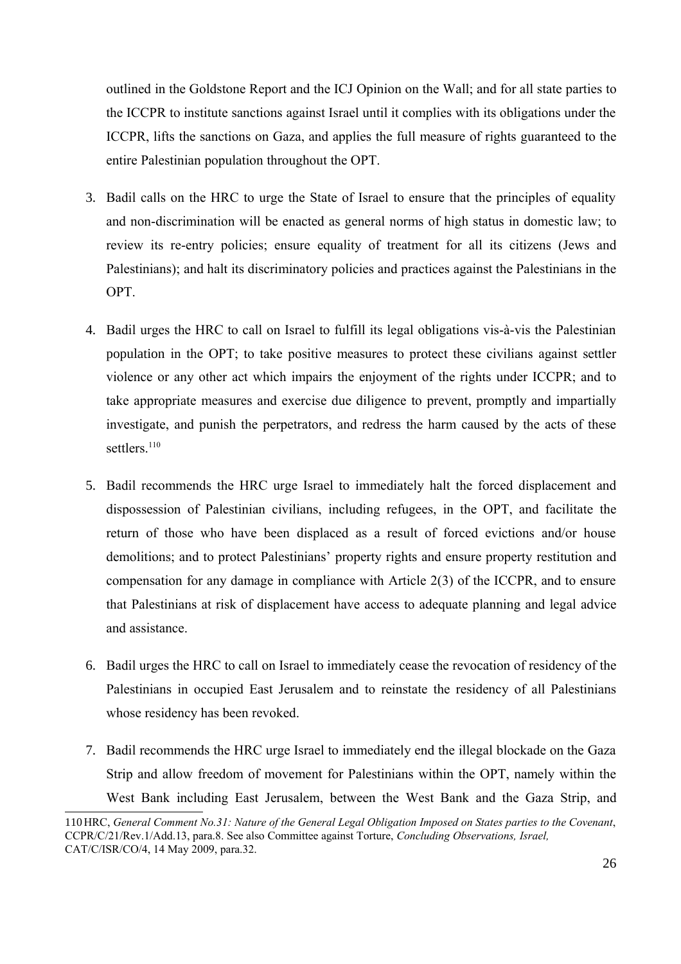outlined in the Goldstone Report and the ICJ Opinion on the Wall; and for all state parties to the ICCPR to institute sanctions against Israel until it complies with its obligations under the ICCPR, lifts the sanctions on Gaza, and applies the full measure of rights guaranteed to the entire Palestinian population throughout the OPT.

- 3. Badil calls on the HRC to urge the State of Israel to ensure that the principles of equality and non-discrimination will be enacted as general norms of high status in domestic law; to review its re-entry policies; ensure equality of treatment for all its citizens (Jews and Palestinians); and halt its discriminatory policies and practices against the Palestinians in the OPT.
- 4. Badil urges the HRC to call on Israel to fulfill its legal obligations vis-à-vis the Palestinian population in the OPT; to take positive measures to protect these civilians against settler violence or any other act which impairs the enjoyment of the rights under ICCPR; and to take appropriate measures and exercise due diligence to prevent, promptly and impartially investigate, and punish the perpetrators, and redress the harm caused by the acts of these settlers<sup>[110](#page-25-0)</sup>
- 5. Badil recommends the HRC urge Israel to immediately halt the forced displacement and dispossession of Palestinian civilians, including refugees, in the OPT, and facilitate the return of those who have been displaced as a result of forced evictions and/or house demolitions; and to protect Palestinians' property rights and ensure property restitution and compensation for any damage in compliance with Article 2(3) of the ICCPR, and to ensure that Palestinians at risk of displacement have access to adequate planning and legal advice and assistance.
- 6. Badil urges the HRC to call on Israel to immediately cease the revocation of residency of the Palestinians in occupied East Jerusalem and to reinstate the residency of all Palestinians whose residency has been revoked.
- 7. Badil recommends the HRC urge Israel to immediately end the illegal blockade on the Gaza Strip and allow freedom of movement for Palestinians within the OPT, namely within the West Bank including East Jerusalem, between the West Bank and the Gaza Strip, and

<span id="page-25-0"></span><sup>110</sup> HRC, *General Comment No.31: Nature of the General Legal Obligation Imposed on States parties to the Covenant*, CCPR/C/21/Rev.1/Add.13, para.8. See also Committee against Torture, *Concluding Observations, Israel,* CAT/C/ISR/CO/4, 14 May 2009, para.32.